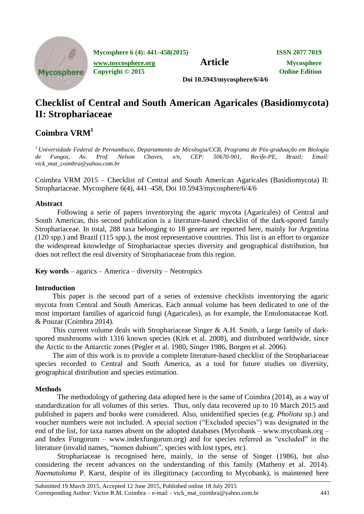

**Mycosphere 6 (4): 441–458(2015) ISSN 2077 7019**

**[www.mycosphere.org](http://www.mycosphere.org/) Article Mycosphere**<br> **Article Mycosphere**<br> **Convright** © 2015 **Copyright © 2015** 

**Doi 10.5943/mycosphere/6/4/6**

# **Checklist of Central and South American Agaricales (Basidiomycota) II: Strophariaceae**

## **Coimbra VRM<sup>1</sup>**

*<sup>1</sup> Universidade Federal de Pernambuco, Departamento de Micologia/CCB, Programa de Pós-graduação em Biologia de Fungos, Av. Prof. Nelson Chaves, s/n, CEP: 50670-901, Recife-PE, Brazil; Email: vick\_mat\_coimbra@yahoo.com.br*

Coimbra VRM 2015 – Checklist of Central and South American Agaricales (Basidiomycota) II: Strophariaceae. Mycosphere 6(4), 441–458, Doi 10.5943/mycosphere/6/4/6

### **Abstract**

Following a serie of papers inventorying the agaric mycota (Agaricales) of Central and South Americas, this second publication is a literature-based checklist of the dark-spored family Strophariaceae. In total, 288 taxa belonging to 18 genera are reported here, mainly for Argentina (120 spp.) and Brazil (115 spp.), the most representative countries. This list is an effort to organize the widespread knowledge of Strophariaceae species diversity and geographical distribution, but does not reflect the real diversity of Strophariaceae from this region.

**Key words** – agarics – America – diversity – Neotropics

#### **Introduction**

This paper is the second part of a series of extensive checklists inventorying the agaric mycota from Central and South Americas. Each annual volume has been dedicated to one of the most important families of agaricoid fungi (Agaricales), as for example, the Entolomataceae Kotl. & Pouzar (Coimbra 2014).

This current volume deals with Strophariaceae Singer & A.H. Smith, a large family of darkspored mushrooms with 1316 known species (Kirk et al. 2008), and distributed worldwide, since the Arctic to the Antarctic zones (Pegler et al. 1980, Singer 1986, Borgen et al. 2006).

The aim of this work is to provide a complete literature-based checklist of the Strophariaceae species recorded to Central and South America, as a tool for future studies on diversity, geographical distribution and species estimation.

#### **Methods**

The methodology of gathering data adopted here is the same of Coimbra (2014), as a way of standardization for all volumes of this series. Thus, only data recovered up to 10 March 2015 and published in papers and books were considered. Also, unidentified species (e.g. *Pholiota* sp.) and voucher numbers were not included. A special section ("Excluded species") was designated in the end of the list, for taxa names absent on the adopted databases (Mycobank – www.mycobank.org – and Index Fungorum – www.indexfungorum.org) and for species referred as "excluded" in the literature (invalid names, "nomen dubium", species with lost types, etc).

Strophariaceae is recognised here, mainly, in the sense of Singer (1986), but also considering the recent advances on the understanding of this family (Matheny et al. 2014). *Naematoloma* P. Karst, despite of its illegitimacy (according to Mycobank), is maintened here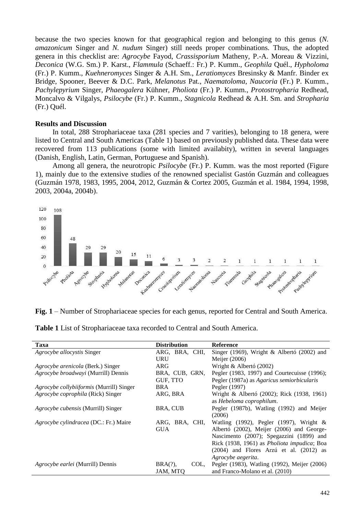because the two species known for that geographical region and belonging to this genus (*N. amazonicum* Singer and *N. nudum* Singer) still needs proper combinations. Thus, the adopted genera in this checklist are: *Agrocybe* Fayod, *Crassisporium* Matheny, P.-A. Moreau & Vizzini, *Deconica* (W.G. Sm.) P. Karst., *Flammula* (Schaeff.: Fr.) P. Kumm., *Geophila* Quél., *Hypholoma* (Fr.) P. Kumm., *Kuehneromyces* Singer & A.H. Sm., *Leratiomyces* Bresinsky & Manfr. Binder ex Bridge, Spooner, Beever & D.C. Park, *Melanotus* Pat., *Naematoloma*, *Naucoria* (Fr.) P. Kumm., *Pachylepyrium* Singer, *Phaeogalera* Kühner, *Pholiota* (Fr.) P. Kumm., *Protostropharia* Redhead, Moncalvo & Vilgalys, *Psilocybe* (Fr.) P. Kumm., *Stagnicola* Redhead & A.H. Sm. and *Stropharia* (Fr.) Quél.

#### **Results and Discussion**

In total, 288 Strophariaceae taxa (281 species and 7 varities), belonging to 18 genera, were listed to Central and South Americas (Table 1) based on previously published data. These data were recovered from 113 publications (some with limited availabity), written in several languages (Danish, English, Latin, German, Portuguese and Spanish).

Among all genera, the neurotropic *Psilocybe* (Fr.) P. Kumm. was the most reported (Figure 1), mainly due to the extensive studies of the renowned specialist Gastón Guzmán and colleagues (Guzmán 1978, 1983, 1995, 2004, 2012, Guzmán & Cortez 2005, Guzmán et al. 1984, 1994, 1998, 2003, 2004a, 2004b).



**Fig. 1** – Number of Strophariaceae species for each genus, reported for Central and South America.

| Taxa                                      | <b>Distribution</b> | <b>Reference</b>                             |
|-------------------------------------------|---------------------|----------------------------------------------|
| <i>Agrocybe allocystis</i> Singer         | ARG, BRA, CHI,      | Singer (1969), Wright & Albertó (2002) and   |
|                                           | <b>URU</b>          | Meijer (2006)                                |
| <i>Agrocybe arenicola</i> (Berk.) Singer  | <b>ARG</b>          | Wright & Albertó (2002)                      |
| Agrocybe broadwayi (Murrill) Dennis       | BRA, CUB, GRN,      | Pegler (1983, 1997) and Courtecuisse (1996); |
|                                           | GUF, TTO            | Pegler (1987a) as Agaricus semiorbicularis   |
| Agrocybe collybiiformis (Murrill) Singer  | <b>BRA</b>          | Pegler (1997)                                |
| Agrocybe coprophila (Rick) Singer         | ARG, BRA            | Wright & Albertó (2002); Rick (1938, 1961)   |
|                                           |                     | as Hebeloma coprophilum.                     |
| <i>Agrocybe cubensis</i> (Murrill) Singer | BRA, CUB            | Pegler (1987b), Watling (1992) and Meijer    |
|                                           |                     | (2006)                                       |
| Agrocybe cylindracea (DC.: Fr.) Maire     | ARG, BRA, CHI,      | Watling (1992), Pegler (1997), Wright &      |
|                                           | <b>GUA</b>          | Albertó (2002), Meijer (2006) and George-    |
|                                           |                     | Nascimento (2007); Spegazzini (1899) and     |
|                                           |                     | Rick (1938, 1961) as Pholiota impudica; Boa  |
|                                           |                     | $(2004)$ and Flores Arzú et al. $(2012)$ as  |
|                                           |                     | Agrocybe aegerita.                           |
| Agrocybe earlei (Murrill) Dennis          | COL.<br>$BRA(?)$ ,  | Pegler (1983), Watling (1992), Meijer (2006) |
|                                           | JAM, MTO            | and Franco-Molano et al. (2010)              |

**Table 1** List of Strophariaceae taxa recorded to Central and South America.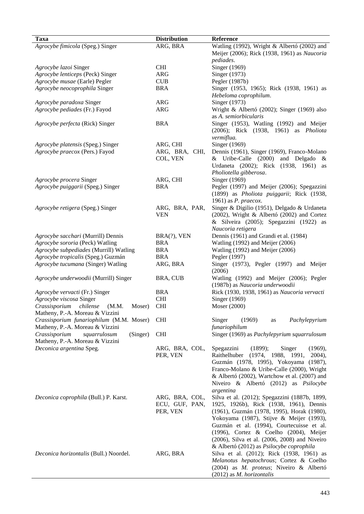| <b>Taxa</b>                               | <b>Distribution</b> | Reference                                                                             |
|-------------------------------------------|---------------------|---------------------------------------------------------------------------------------|
| Agrocybe fimicola (Speg.) Singer          | ARG, BRA            | Watling (1992), Wright & Albertó (2002) and                                           |
|                                           |                     | Meijer (2006); Rick (1938, 1961) as Naucoria                                          |
|                                           |                     | pediades.                                                                             |
| Agrocybe lazoi Singer                     | <b>CHI</b>          | Singer (1969)                                                                         |
| Agrocybe lenticeps (Peck) Singer          | <b>ARG</b>          | Singer (1973)                                                                         |
| Agrocybe musae (Earle) Pegler             | CUB                 | Pegler (1987b)                                                                        |
| Agrocybe neocoprophila Singer             | <b>BRA</b>          | Singer (1953, 1965); Rick (1938, 1961) as                                             |
|                                           |                     | Hebeloma coprophilum.                                                                 |
| Agrocybe paradoxa Singer                  | <b>ARG</b>          | Singer (1973)                                                                         |
| Agrocybe pediades (Fr.) Fayod             | <b>ARG</b>          | Wright & Albertó (2002); Singer (1969) also                                           |
|                                           |                     | as A. semiorbicularis                                                                 |
| Agrocybe perfecta (Rick) Singer           | <b>BRA</b>          | Singer (1953), Watling (1992) and Meijer                                              |
|                                           |                     | (2006); Rick (1938, 1961) as <i>Pholiota</i>                                          |
|                                           |                     | vermiflua.                                                                            |
| Agrocybe platensis (Speg.) Singer         | ARG, CHI            | Singer (1969)                                                                         |
| Agrocybe praecox (Pers.) Fayod            | ARG, BRA, CHI,      | Dennis (1961), Singer (1969), Franco-Molano                                           |
|                                           | COL, VEN            | & Uribe-Calle $(2000)$ and Delgado &                                                  |
|                                           |                     | Urdaneta (2002); Rick (1938, 1961) as                                                 |
|                                           |                     | Pholiotella gibberosa.                                                                |
| Agrocybe procera Singer                   | ARG, CHI            | Singer (1969)                                                                         |
| Agrocybe puiggarii (Speg.) Singer         | <b>BRA</b>          | Pegler (1997) and Meijer (2006); Spegazzini                                           |
|                                           |                     | (1899) as Pholiota puiggarii; Rick (1938,                                             |
|                                           |                     | 1961) as $P.$ praecox.                                                                |
| Agrocybe retigera (Speg.) Singer          | ARG, BRA, PAR,      | Singer & Digilio (1951), Delgado & Urdaneta                                           |
|                                           | <b>VEN</b>          | (2002), Wright & Albertó (2002) and Cortez<br>& Silveira (2005); Spegazzini (1922) as |
|                                           |                     | Naucoria retigera                                                                     |
| Agrocybe sacchari (Murrill) Dennis        | BRA(?), VEN         | Dennis (1961) and Grandi et al. (1984)                                                |
| Agrocybe sororia (Peck) Watling           | <b>BRA</b>          | Watling (1992) and Meijer (2006)                                                      |
| Agrocybe subpediades (Murrill) Watling    | <b>BRA</b>          | Watling (1992) and Meijer (2006)                                                      |
| Agrocybe tropicalis (Speg.) Guzmán        | <b>BRA</b>          | Pegler (1997)                                                                         |
| Agrocybe tucumana (Singer) Watling        | ARG, BRA            | Singer (1973), Pegler (1997) and Meijer                                               |
|                                           |                     | (2006)                                                                                |
| Agrocybe underwoodii (Murrill) Singer     | BRA, CUB            | Watling (1992) and Meijer (2006); Pegler                                              |
|                                           |                     | (1987b) as Naucoria underwoodii                                                       |
| Agrocybe vervacti (Fr.) Singer            | <b>BRA</b>          | Rick (1930, 1938, 1961) as Naucoria vervacti                                          |
| Agrocybe viscosa Singer                   | <b>CHI</b>          | Singer (1969)                                                                         |
| Crassisporium chilense (M.M. Moser) CHI   |                     | Moser (2000)                                                                          |
| Matheny, P.-A. Moreau & Vizzini           |                     |                                                                                       |
| Crassisporium funariophilum (M.M. Moser)  | <b>CHI</b>          | (1969)<br>Singer<br>Pachylepyrium<br>as                                               |
| Matheny, P.-A. Moreau & Vizzini           |                     | funariophilum                                                                         |
| Crassisporium<br>squarrulosum<br>(Singer) | <b>CHI</b>          | Singer (1969) as Pachylepyrium squarrulosum                                           |
| Matheny, P.-A. Moreau & Vizzini           |                     |                                                                                       |
| Deconica argentina Speg.                  | ARG, BRA, COL,      | Spegazzini<br>Singer<br>(1899);<br>(1969),                                            |
|                                           | PER, VEN            | Raithelhuber<br>(1974, 1988, 1991,<br>$2004$ ,                                        |
|                                           |                     | Guzmán (1978, 1995), Yokoyama (1987),                                                 |
|                                           |                     | Franco-Molano & Uribe-Calle (2000), Wright                                            |
|                                           |                     | & Albertó (2002), Wartchow et al. (2007) and                                          |
|                                           |                     | Niveiro & Albertó (2012) as Psilocybe                                                 |
|                                           |                     | argentina                                                                             |
| Deconica coprophila (Bull.) P. Karst.     | ARG, BRA, COL,      | Silva et al. (2012); Spegazzini (1887b, 1899,                                         |
|                                           | ECU, GUF, PAN,      | 1925, 1926b), Rick (1938, 1961), Dennis                                               |
|                                           | PER, VEN            | (1961), Guzmán (1978, 1995), Horak (1980),                                            |
|                                           |                     | Yokoyama (1987), Stijve & Meijer (1993),                                              |
|                                           |                     | Guzmán et al. (1994), Courtecuisse et al.                                             |
|                                           |                     | (1996), Cortez & Coelho (2004), Meijer                                                |
|                                           |                     | (2006), Silva et al. (2006, 2008) and Niveiro                                         |
|                                           |                     | & Albertó (2012) as Psilocybe coprophila                                              |
| Deconica horizontalis (Bull.) Noordel.    | ARG, BRA            | Silva et al. (2012); Rick (1938, 1961) as                                             |
|                                           |                     | Melanotus hepatochrous; Cortez & Coelho<br>(2004) as M. proteus; Niveiro & Albertó    |
|                                           |                     | (2012) as M. horizontalis                                                             |
|                                           |                     |                                                                                       |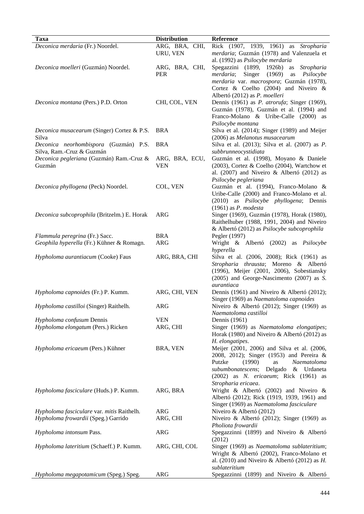| ARG, BRA, CHI,<br>Deconica merdaria (Fr.) Noordel.<br>Rick (1907, 1939, 1961) as Stropharia<br>URU, VEN<br>merdaria; Guzmán (1978) and Valenzuela et<br>al. (1992) as Psilocybe merdaria<br>Spegazzini (1899, 1926b)<br>Deconica moelleri (Guzmán) Noordel.<br>ARG, BRA, CHI,<br>as<br><i>Stropharia</i><br><b>PER</b><br>Singer<br>(1969)<br>merdaria;<br>as<br>Psilocybe<br>merdaria var. macrospora; Guzmán (1978),<br>Cortez & Coelho (2004) and Niveiro &<br>Albertó (2012) as P. moelleri<br>CHI, COL, VEN<br>Dennis (1961) as <i>P. atrorufa</i> ; Singer (1969),<br>Deconica montana (Pers.) P.D. Orton<br>Guzmán (1978), Guzmán et al. (1994) and<br>Franco-Molano & Uribe-Calle (2000) as<br>Psilocybe montana<br><b>BRA</b><br>Silva et al. (2014); Singer (1989) and Meijer<br>Deconica musacearum (Singer) Cortez & P.S.<br>Silva<br>(2006) as Melanotus musacearum<br>Deconica neorhombispora (Guzmán) P.S.<br><b>BRA</b><br>Silva et al. (2013); Silva et al. (2007) as <i>P</i> .<br>Silva, Ram.-Cruz & Guzmán<br>subbrunneocystidiata<br>Deconica pegleriana (Guzmán) Ram.-Cruz &<br>ARG, BRA, ECU,<br>Guzmán et al. (1998), Moyano & Daniele<br>Guzmán<br><b>VEN</b><br>(2003), Cortez & Coelho (2004), Wartchow et<br>al. $(2007)$ and Niveiro & Albertó $(2012)$ as<br>Psilocybe pegleriana<br>COL, VEN<br>Guzmán et al. (1994), Franco-Molano &<br>Deconica phyllogena (Peck) Noordel.<br>Uribe-Calle (2000) and Franco-Molano et al.<br>(2010) as <i>Psilocybe phyllogena</i> ; Dennis<br>$(1961)$ as P. modesta<br><b>ARG</b><br>Singer (1969), Guzmán (1978), Horak (1980),<br>Deconica subcoprophila (Britzelm.) E. Horak<br>Raithelhuber (1988, 1991, 2004) and Niveiro<br>& Albertó (2012) as Psilocybe subcoprophila<br>Flammula peregrina (Fr.) Sacc.<br><b>BRA</b><br>Pegler (1997)<br>Geophila hyperella (Fr.) Kühner & Romagn.<br><b>ARG</b><br>Wright & Albertó (2002) as Psilocybe<br>hyperella<br>ARG, BRA, CHI<br>Silva et al. (2006, 2008); Rick (1961) as<br>Hypholoma aurantiacum (Cooke) Faus<br>Stropharia thrausta; Moreno & Albertó<br>(1996), Meijer (2001, 2006), Sobestiansky<br>(2005) and George-Nascimento (2007) as S.<br>aurantiaca<br>ARG, CHI, VEN<br>Dennis (1961) and Niveiro & Albertó (2012);<br>Hypholoma capnoides (Fr.) P. Kumm.<br>Singer (1969) as Naematoloma capnoides<br>Hypholoma castilloi (Singer) Raithelh.<br>ARG<br>Niveiro & Albertó (2012); Singer (1969) as<br>Naematoloma castilloi<br>Hypholoma confusum Dennis<br><b>VEN</b><br>Dennis (1961)<br>Hypholoma elongatum (Pers.) Ricken<br>ARG, CHI<br>Singer (1969) as Naematoloma elongatipes;<br>Horak (1980) and Niveiro & Albertó (2012) as<br>H. elongatipes.<br>Hypholoma ericaeum (Pers.) Kühner<br>BRA, VEN<br>Meijer (2001, 2006) and Silva et al. (2006,<br>2008, 2012); Singer (1953) and Pereira &<br>Putzke<br>(1990)<br>Naematoloma<br>as<br>subumbonatescens; Delgado<br>& Urdaneta<br>(2002) as N. ericaeum; Rick (1961) as<br>Stropharia ericaea.<br>ARG, BRA<br>Wright & Albertó (2002) and Niveiro $\&$<br>Hypholoma fasciculare (Huds.) P. Kumm.<br>Albertó (2012); Rick (1919, 1939, 1961) and<br>Singer (1969) as Naematoloma fasciculare<br><b>ARG</b><br>Hypholoma fasciculare var. mitis Raithelh.<br>Niveiro & Albertó (2012)<br>Hypholoma frowardii (Speg.) Garrido<br>ARG, CHI<br>Niveiro & Albertó (2012); Singer (1969) as<br>Pholiota frowardii<br><b>ARG</b><br>Spegazzinni (1899) and Niveiro & Albertó<br>Hypholoma intonsum Pass.<br>(2012)<br>Hypholoma lateritium (Schaeff.) P. Kumm.<br>ARG, CHI, COL<br>Singer (1969) as Naematoloma sublateritium;<br>Wright & Albertó (2002), Franco-Molano et<br>al. (2010) and Niveiro & Albertó (2012) as $H$ .<br>sublateritium<br>Hypholoma megapotamicum (Speg.) Speg.<br><b>ARG</b><br>Spegazzinni (1899) and Niveiro & Albertó |             |                     |           |
|-------------------------------------------------------------------------------------------------------------------------------------------------------------------------------------------------------------------------------------------------------------------------------------------------------------------------------------------------------------------------------------------------------------------------------------------------------------------------------------------------------------------------------------------------------------------------------------------------------------------------------------------------------------------------------------------------------------------------------------------------------------------------------------------------------------------------------------------------------------------------------------------------------------------------------------------------------------------------------------------------------------------------------------------------------------------------------------------------------------------------------------------------------------------------------------------------------------------------------------------------------------------------------------------------------------------------------------------------------------------------------------------------------------------------------------------------------------------------------------------------------------------------------------------------------------------------------------------------------------------------------------------------------------------------------------------------------------------------------------------------------------------------------------------------------------------------------------------------------------------------------------------------------------------------------------------------------------------------------------------------------------------------------------------------------------------------------------------------------------------------------------------------------------------------------------------------------------------------------------------------------------------------------------------------------------------------------------------------------------------------------------------------------------------------------------------------------------------------------------------------------------------------------------------------------------------------------------------------------------------------------------------------------------------------------------------------------------------------------------------------------------------------------------------------------------------------------------------------------------------------------------------------------------------------------------------------------------------------------------------------------------------------------------------------------------------------------------------------------------------------------------------------------------------------------------------------------------------------------------------------------------------------------------------------------------------------------------------------------------------------------------------------------------------------------------------------------------------------------------------------------------------------------------------------------------------------------------------------------------------------------------------------------------------------------------------------------------------------------------------------------------------------------------------------------------------------------------------|-------------|---------------------|-----------|
|                                                                                                                                                                                                                                                                                                                                                                                                                                                                                                                                                                                                                                                                                                                                                                                                                                                                                                                                                                                                                                                                                                                                                                                                                                                                                                                                                                                                                                                                                                                                                                                                                                                                                                                                                                                                                                                                                                                                                                                                                                                                                                                                                                                                                                                                                                                                                                                                                                                                                                                                                                                                                                                                                                                                                                                                                                                                                                                                                                                                                                                                                                                                                                                                                                                                                                                                                                                                                                                                                                                                                                                                                                                                                                                                                                                                                                           | <b>Taxa</b> | <b>Distribution</b> | Reference |
|                                                                                                                                                                                                                                                                                                                                                                                                                                                                                                                                                                                                                                                                                                                                                                                                                                                                                                                                                                                                                                                                                                                                                                                                                                                                                                                                                                                                                                                                                                                                                                                                                                                                                                                                                                                                                                                                                                                                                                                                                                                                                                                                                                                                                                                                                                                                                                                                                                                                                                                                                                                                                                                                                                                                                                                                                                                                                                                                                                                                                                                                                                                                                                                                                                                                                                                                                                                                                                                                                                                                                                                                                                                                                                                                                                                                                                           |             |                     |           |
|                                                                                                                                                                                                                                                                                                                                                                                                                                                                                                                                                                                                                                                                                                                                                                                                                                                                                                                                                                                                                                                                                                                                                                                                                                                                                                                                                                                                                                                                                                                                                                                                                                                                                                                                                                                                                                                                                                                                                                                                                                                                                                                                                                                                                                                                                                                                                                                                                                                                                                                                                                                                                                                                                                                                                                                                                                                                                                                                                                                                                                                                                                                                                                                                                                                                                                                                                                                                                                                                                                                                                                                                                                                                                                                                                                                                                                           |             |                     |           |
|                                                                                                                                                                                                                                                                                                                                                                                                                                                                                                                                                                                                                                                                                                                                                                                                                                                                                                                                                                                                                                                                                                                                                                                                                                                                                                                                                                                                                                                                                                                                                                                                                                                                                                                                                                                                                                                                                                                                                                                                                                                                                                                                                                                                                                                                                                                                                                                                                                                                                                                                                                                                                                                                                                                                                                                                                                                                                                                                                                                                                                                                                                                                                                                                                                                                                                                                                                                                                                                                                                                                                                                                                                                                                                                                                                                                                                           |             |                     |           |
|                                                                                                                                                                                                                                                                                                                                                                                                                                                                                                                                                                                                                                                                                                                                                                                                                                                                                                                                                                                                                                                                                                                                                                                                                                                                                                                                                                                                                                                                                                                                                                                                                                                                                                                                                                                                                                                                                                                                                                                                                                                                                                                                                                                                                                                                                                                                                                                                                                                                                                                                                                                                                                                                                                                                                                                                                                                                                                                                                                                                                                                                                                                                                                                                                                                                                                                                                                                                                                                                                                                                                                                                                                                                                                                                                                                                                                           |             |                     |           |
|                                                                                                                                                                                                                                                                                                                                                                                                                                                                                                                                                                                                                                                                                                                                                                                                                                                                                                                                                                                                                                                                                                                                                                                                                                                                                                                                                                                                                                                                                                                                                                                                                                                                                                                                                                                                                                                                                                                                                                                                                                                                                                                                                                                                                                                                                                                                                                                                                                                                                                                                                                                                                                                                                                                                                                                                                                                                                                                                                                                                                                                                                                                                                                                                                                                                                                                                                                                                                                                                                                                                                                                                                                                                                                                                                                                                                                           |             |                     |           |
|                                                                                                                                                                                                                                                                                                                                                                                                                                                                                                                                                                                                                                                                                                                                                                                                                                                                                                                                                                                                                                                                                                                                                                                                                                                                                                                                                                                                                                                                                                                                                                                                                                                                                                                                                                                                                                                                                                                                                                                                                                                                                                                                                                                                                                                                                                                                                                                                                                                                                                                                                                                                                                                                                                                                                                                                                                                                                                                                                                                                                                                                                                                                                                                                                                                                                                                                                                                                                                                                                                                                                                                                                                                                                                                                                                                                                                           |             |                     |           |
|                                                                                                                                                                                                                                                                                                                                                                                                                                                                                                                                                                                                                                                                                                                                                                                                                                                                                                                                                                                                                                                                                                                                                                                                                                                                                                                                                                                                                                                                                                                                                                                                                                                                                                                                                                                                                                                                                                                                                                                                                                                                                                                                                                                                                                                                                                                                                                                                                                                                                                                                                                                                                                                                                                                                                                                                                                                                                                                                                                                                                                                                                                                                                                                                                                                                                                                                                                                                                                                                                                                                                                                                                                                                                                                                                                                                                                           |             |                     |           |
|                                                                                                                                                                                                                                                                                                                                                                                                                                                                                                                                                                                                                                                                                                                                                                                                                                                                                                                                                                                                                                                                                                                                                                                                                                                                                                                                                                                                                                                                                                                                                                                                                                                                                                                                                                                                                                                                                                                                                                                                                                                                                                                                                                                                                                                                                                                                                                                                                                                                                                                                                                                                                                                                                                                                                                                                                                                                                                                                                                                                                                                                                                                                                                                                                                                                                                                                                                                                                                                                                                                                                                                                                                                                                                                                                                                                                                           |             |                     |           |
|                                                                                                                                                                                                                                                                                                                                                                                                                                                                                                                                                                                                                                                                                                                                                                                                                                                                                                                                                                                                                                                                                                                                                                                                                                                                                                                                                                                                                                                                                                                                                                                                                                                                                                                                                                                                                                                                                                                                                                                                                                                                                                                                                                                                                                                                                                                                                                                                                                                                                                                                                                                                                                                                                                                                                                                                                                                                                                                                                                                                                                                                                                                                                                                                                                                                                                                                                                                                                                                                                                                                                                                                                                                                                                                                                                                                                                           |             |                     |           |
|                                                                                                                                                                                                                                                                                                                                                                                                                                                                                                                                                                                                                                                                                                                                                                                                                                                                                                                                                                                                                                                                                                                                                                                                                                                                                                                                                                                                                                                                                                                                                                                                                                                                                                                                                                                                                                                                                                                                                                                                                                                                                                                                                                                                                                                                                                                                                                                                                                                                                                                                                                                                                                                                                                                                                                                                                                                                                                                                                                                                                                                                                                                                                                                                                                                                                                                                                                                                                                                                                                                                                                                                                                                                                                                                                                                                                                           |             |                     |           |
|                                                                                                                                                                                                                                                                                                                                                                                                                                                                                                                                                                                                                                                                                                                                                                                                                                                                                                                                                                                                                                                                                                                                                                                                                                                                                                                                                                                                                                                                                                                                                                                                                                                                                                                                                                                                                                                                                                                                                                                                                                                                                                                                                                                                                                                                                                                                                                                                                                                                                                                                                                                                                                                                                                                                                                                                                                                                                                                                                                                                                                                                                                                                                                                                                                                                                                                                                                                                                                                                                                                                                                                                                                                                                                                                                                                                                                           |             |                     |           |
|                                                                                                                                                                                                                                                                                                                                                                                                                                                                                                                                                                                                                                                                                                                                                                                                                                                                                                                                                                                                                                                                                                                                                                                                                                                                                                                                                                                                                                                                                                                                                                                                                                                                                                                                                                                                                                                                                                                                                                                                                                                                                                                                                                                                                                                                                                                                                                                                                                                                                                                                                                                                                                                                                                                                                                                                                                                                                                                                                                                                                                                                                                                                                                                                                                                                                                                                                                                                                                                                                                                                                                                                                                                                                                                                                                                                                                           |             |                     |           |
|                                                                                                                                                                                                                                                                                                                                                                                                                                                                                                                                                                                                                                                                                                                                                                                                                                                                                                                                                                                                                                                                                                                                                                                                                                                                                                                                                                                                                                                                                                                                                                                                                                                                                                                                                                                                                                                                                                                                                                                                                                                                                                                                                                                                                                                                                                                                                                                                                                                                                                                                                                                                                                                                                                                                                                                                                                                                                                                                                                                                                                                                                                                                                                                                                                                                                                                                                                                                                                                                                                                                                                                                                                                                                                                                                                                                                                           |             |                     |           |
|                                                                                                                                                                                                                                                                                                                                                                                                                                                                                                                                                                                                                                                                                                                                                                                                                                                                                                                                                                                                                                                                                                                                                                                                                                                                                                                                                                                                                                                                                                                                                                                                                                                                                                                                                                                                                                                                                                                                                                                                                                                                                                                                                                                                                                                                                                                                                                                                                                                                                                                                                                                                                                                                                                                                                                                                                                                                                                                                                                                                                                                                                                                                                                                                                                                                                                                                                                                                                                                                                                                                                                                                                                                                                                                                                                                                                                           |             |                     |           |
|                                                                                                                                                                                                                                                                                                                                                                                                                                                                                                                                                                                                                                                                                                                                                                                                                                                                                                                                                                                                                                                                                                                                                                                                                                                                                                                                                                                                                                                                                                                                                                                                                                                                                                                                                                                                                                                                                                                                                                                                                                                                                                                                                                                                                                                                                                                                                                                                                                                                                                                                                                                                                                                                                                                                                                                                                                                                                                                                                                                                                                                                                                                                                                                                                                                                                                                                                                                                                                                                                                                                                                                                                                                                                                                                                                                                                                           |             |                     |           |
|                                                                                                                                                                                                                                                                                                                                                                                                                                                                                                                                                                                                                                                                                                                                                                                                                                                                                                                                                                                                                                                                                                                                                                                                                                                                                                                                                                                                                                                                                                                                                                                                                                                                                                                                                                                                                                                                                                                                                                                                                                                                                                                                                                                                                                                                                                                                                                                                                                                                                                                                                                                                                                                                                                                                                                                                                                                                                                                                                                                                                                                                                                                                                                                                                                                                                                                                                                                                                                                                                                                                                                                                                                                                                                                                                                                                                                           |             |                     |           |
|                                                                                                                                                                                                                                                                                                                                                                                                                                                                                                                                                                                                                                                                                                                                                                                                                                                                                                                                                                                                                                                                                                                                                                                                                                                                                                                                                                                                                                                                                                                                                                                                                                                                                                                                                                                                                                                                                                                                                                                                                                                                                                                                                                                                                                                                                                                                                                                                                                                                                                                                                                                                                                                                                                                                                                                                                                                                                                                                                                                                                                                                                                                                                                                                                                                                                                                                                                                                                                                                                                                                                                                                                                                                                                                                                                                                                                           |             |                     |           |
|                                                                                                                                                                                                                                                                                                                                                                                                                                                                                                                                                                                                                                                                                                                                                                                                                                                                                                                                                                                                                                                                                                                                                                                                                                                                                                                                                                                                                                                                                                                                                                                                                                                                                                                                                                                                                                                                                                                                                                                                                                                                                                                                                                                                                                                                                                                                                                                                                                                                                                                                                                                                                                                                                                                                                                                                                                                                                                                                                                                                                                                                                                                                                                                                                                                                                                                                                                                                                                                                                                                                                                                                                                                                                                                                                                                                                                           |             |                     |           |
|                                                                                                                                                                                                                                                                                                                                                                                                                                                                                                                                                                                                                                                                                                                                                                                                                                                                                                                                                                                                                                                                                                                                                                                                                                                                                                                                                                                                                                                                                                                                                                                                                                                                                                                                                                                                                                                                                                                                                                                                                                                                                                                                                                                                                                                                                                                                                                                                                                                                                                                                                                                                                                                                                                                                                                                                                                                                                                                                                                                                                                                                                                                                                                                                                                                                                                                                                                                                                                                                                                                                                                                                                                                                                                                                                                                                                                           |             |                     |           |
|                                                                                                                                                                                                                                                                                                                                                                                                                                                                                                                                                                                                                                                                                                                                                                                                                                                                                                                                                                                                                                                                                                                                                                                                                                                                                                                                                                                                                                                                                                                                                                                                                                                                                                                                                                                                                                                                                                                                                                                                                                                                                                                                                                                                                                                                                                                                                                                                                                                                                                                                                                                                                                                                                                                                                                                                                                                                                                                                                                                                                                                                                                                                                                                                                                                                                                                                                                                                                                                                                                                                                                                                                                                                                                                                                                                                                                           |             |                     |           |
|                                                                                                                                                                                                                                                                                                                                                                                                                                                                                                                                                                                                                                                                                                                                                                                                                                                                                                                                                                                                                                                                                                                                                                                                                                                                                                                                                                                                                                                                                                                                                                                                                                                                                                                                                                                                                                                                                                                                                                                                                                                                                                                                                                                                                                                                                                                                                                                                                                                                                                                                                                                                                                                                                                                                                                                                                                                                                                                                                                                                                                                                                                                                                                                                                                                                                                                                                                                                                                                                                                                                                                                                                                                                                                                                                                                                                                           |             |                     |           |
|                                                                                                                                                                                                                                                                                                                                                                                                                                                                                                                                                                                                                                                                                                                                                                                                                                                                                                                                                                                                                                                                                                                                                                                                                                                                                                                                                                                                                                                                                                                                                                                                                                                                                                                                                                                                                                                                                                                                                                                                                                                                                                                                                                                                                                                                                                                                                                                                                                                                                                                                                                                                                                                                                                                                                                                                                                                                                                                                                                                                                                                                                                                                                                                                                                                                                                                                                                                                                                                                                                                                                                                                                                                                                                                                                                                                                                           |             |                     |           |
|                                                                                                                                                                                                                                                                                                                                                                                                                                                                                                                                                                                                                                                                                                                                                                                                                                                                                                                                                                                                                                                                                                                                                                                                                                                                                                                                                                                                                                                                                                                                                                                                                                                                                                                                                                                                                                                                                                                                                                                                                                                                                                                                                                                                                                                                                                                                                                                                                                                                                                                                                                                                                                                                                                                                                                                                                                                                                                                                                                                                                                                                                                                                                                                                                                                                                                                                                                                                                                                                                                                                                                                                                                                                                                                                                                                                                                           |             |                     |           |
|                                                                                                                                                                                                                                                                                                                                                                                                                                                                                                                                                                                                                                                                                                                                                                                                                                                                                                                                                                                                                                                                                                                                                                                                                                                                                                                                                                                                                                                                                                                                                                                                                                                                                                                                                                                                                                                                                                                                                                                                                                                                                                                                                                                                                                                                                                                                                                                                                                                                                                                                                                                                                                                                                                                                                                                                                                                                                                                                                                                                                                                                                                                                                                                                                                                                                                                                                                                                                                                                                                                                                                                                                                                                                                                                                                                                                                           |             |                     |           |
|                                                                                                                                                                                                                                                                                                                                                                                                                                                                                                                                                                                                                                                                                                                                                                                                                                                                                                                                                                                                                                                                                                                                                                                                                                                                                                                                                                                                                                                                                                                                                                                                                                                                                                                                                                                                                                                                                                                                                                                                                                                                                                                                                                                                                                                                                                                                                                                                                                                                                                                                                                                                                                                                                                                                                                                                                                                                                                                                                                                                                                                                                                                                                                                                                                                                                                                                                                                                                                                                                                                                                                                                                                                                                                                                                                                                                                           |             |                     |           |
|                                                                                                                                                                                                                                                                                                                                                                                                                                                                                                                                                                                                                                                                                                                                                                                                                                                                                                                                                                                                                                                                                                                                                                                                                                                                                                                                                                                                                                                                                                                                                                                                                                                                                                                                                                                                                                                                                                                                                                                                                                                                                                                                                                                                                                                                                                                                                                                                                                                                                                                                                                                                                                                                                                                                                                                                                                                                                                                                                                                                                                                                                                                                                                                                                                                                                                                                                                                                                                                                                                                                                                                                                                                                                                                                                                                                                                           |             |                     |           |
|                                                                                                                                                                                                                                                                                                                                                                                                                                                                                                                                                                                                                                                                                                                                                                                                                                                                                                                                                                                                                                                                                                                                                                                                                                                                                                                                                                                                                                                                                                                                                                                                                                                                                                                                                                                                                                                                                                                                                                                                                                                                                                                                                                                                                                                                                                                                                                                                                                                                                                                                                                                                                                                                                                                                                                                                                                                                                                                                                                                                                                                                                                                                                                                                                                                                                                                                                                                                                                                                                                                                                                                                                                                                                                                                                                                                                                           |             |                     |           |
|                                                                                                                                                                                                                                                                                                                                                                                                                                                                                                                                                                                                                                                                                                                                                                                                                                                                                                                                                                                                                                                                                                                                                                                                                                                                                                                                                                                                                                                                                                                                                                                                                                                                                                                                                                                                                                                                                                                                                                                                                                                                                                                                                                                                                                                                                                                                                                                                                                                                                                                                                                                                                                                                                                                                                                                                                                                                                                                                                                                                                                                                                                                                                                                                                                                                                                                                                                                                                                                                                                                                                                                                                                                                                                                                                                                                                                           |             |                     |           |
|                                                                                                                                                                                                                                                                                                                                                                                                                                                                                                                                                                                                                                                                                                                                                                                                                                                                                                                                                                                                                                                                                                                                                                                                                                                                                                                                                                                                                                                                                                                                                                                                                                                                                                                                                                                                                                                                                                                                                                                                                                                                                                                                                                                                                                                                                                                                                                                                                                                                                                                                                                                                                                                                                                                                                                                                                                                                                                                                                                                                                                                                                                                                                                                                                                                                                                                                                                                                                                                                                                                                                                                                                                                                                                                                                                                                                                           |             |                     |           |
|                                                                                                                                                                                                                                                                                                                                                                                                                                                                                                                                                                                                                                                                                                                                                                                                                                                                                                                                                                                                                                                                                                                                                                                                                                                                                                                                                                                                                                                                                                                                                                                                                                                                                                                                                                                                                                                                                                                                                                                                                                                                                                                                                                                                                                                                                                                                                                                                                                                                                                                                                                                                                                                                                                                                                                                                                                                                                                                                                                                                                                                                                                                                                                                                                                                                                                                                                                                                                                                                                                                                                                                                                                                                                                                                                                                                                                           |             |                     |           |
|                                                                                                                                                                                                                                                                                                                                                                                                                                                                                                                                                                                                                                                                                                                                                                                                                                                                                                                                                                                                                                                                                                                                                                                                                                                                                                                                                                                                                                                                                                                                                                                                                                                                                                                                                                                                                                                                                                                                                                                                                                                                                                                                                                                                                                                                                                                                                                                                                                                                                                                                                                                                                                                                                                                                                                                                                                                                                                                                                                                                                                                                                                                                                                                                                                                                                                                                                                                                                                                                                                                                                                                                                                                                                                                                                                                                                                           |             |                     |           |
|                                                                                                                                                                                                                                                                                                                                                                                                                                                                                                                                                                                                                                                                                                                                                                                                                                                                                                                                                                                                                                                                                                                                                                                                                                                                                                                                                                                                                                                                                                                                                                                                                                                                                                                                                                                                                                                                                                                                                                                                                                                                                                                                                                                                                                                                                                                                                                                                                                                                                                                                                                                                                                                                                                                                                                                                                                                                                                                                                                                                                                                                                                                                                                                                                                                                                                                                                                                                                                                                                                                                                                                                                                                                                                                                                                                                                                           |             |                     |           |
|                                                                                                                                                                                                                                                                                                                                                                                                                                                                                                                                                                                                                                                                                                                                                                                                                                                                                                                                                                                                                                                                                                                                                                                                                                                                                                                                                                                                                                                                                                                                                                                                                                                                                                                                                                                                                                                                                                                                                                                                                                                                                                                                                                                                                                                                                                                                                                                                                                                                                                                                                                                                                                                                                                                                                                                                                                                                                                                                                                                                                                                                                                                                                                                                                                                                                                                                                                                                                                                                                                                                                                                                                                                                                                                                                                                                                                           |             |                     |           |
|                                                                                                                                                                                                                                                                                                                                                                                                                                                                                                                                                                                                                                                                                                                                                                                                                                                                                                                                                                                                                                                                                                                                                                                                                                                                                                                                                                                                                                                                                                                                                                                                                                                                                                                                                                                                                                                                                                                                                                                                                                                                                                                                                                                                                                                                                                                                                                                                                                                                                                                                                                                                                                                                                                                                                                                                                                                                                                                                                                                                                                                                                                                                                                                                                                                                                                                                                                                                                                                                                                                                                                                                                                                                                                                                                                                                                                           |             |                     |           |
|                                                                                                                                                                                                                                                                                                                                                                                                                                                                                                                                                                                                                                                                                                                                                                                                                                                                                                                                                                                                                                                                                                                                                                                                                                                                                                                                                                                                                                                                                                                                                                                                                                                                                                                                                                                                                                                                                                                                                                                                                                                                                                                                                                                                                                                                                                                                                                                                                                                                                                                                                                                                                                                                                                                                                                                                                                                                                                                                                                                                                                                                                                                                                                                                                                                                                                                                                                                                                                                                                                                                                                                                                                                                                                                                                                                                                                           |             |                     |           |
|                                                                                                                                                                                                                                                                                                                                                                                                                                                                                                                                                                                                                                                                                                                                                                                                                                                                                                                                                                                                                                                                                                                                                                                                                                                                                                                                                                                                                                                                                                                                                                                                                                                                                                                                                                                                                                                                                                                                                                                                                                                                                                                                                                                                                                                                                                                                                                                                                                                                                                                                                                                                                                                                                                                                                                                                                                                                                                                                                                                                                                                                                                                                                                                                                                                                                                                                                                                                                                                                                                                                                                                                                                                                                                                                                                                                                                           |             |                     |           |
|                                                                                                                                                                                                                                                                                                                                                                                                                                                                                                                                                                                                                                                                                                                                                                                                                                                                                                                                                                                                                                                                                                                                                                                                                                                                                                                                                                                                                                                                                                                                                                                                                                                                                                                                                                                                                                                                                                                                                                                                                                                                                                                                                                                                                                                                                                                                                                                                                                                                                                                                                                                                                                                                                                                                                                                                                                                                                                                                                                                                                                                                                                                                                                                                                                                                                                                                                                                                                                                                                                                                                                                                                                                                                                                                                                                                                                           |             |                     |           |
|                                                                                                                                                                                                                                                                                                                                                                                                                                                                                                                                                                                                                                                                                                                                                                                                                                                                                                                                                                                                                                                                                                                                                                                                                                                                                                                                                                                                                                                                                                                                                                                                                                                                                                                                                                                                                                                                                                                                                                                                                                                                                                                                                                                                                                                                                                                                                                                                                                                                                                                                                                                                                                                                                                                                                                                                                                                                                                                                                                                                                                                                                                                                                                                                                                                                                                                                                                                                                                                                                                                                                                                                                                                                                                                                                                                                                                           |             |                     |           |
|                                                                                                                                                                                                                                                                                                                                                                                                                                                                                                                                                                                                                                                                                                                                                                                                                                                                                                                                                                                                                                                                                                                                                                                                                                                                                                                                                                                                                                                                                                                                                                                                                                                                                                                                                                                                                                                                                                                                                                                                                                                                                                                                                                                                                                                                                                                                                                                                                                                                                                                                                                                                                                                                                                                                                                                                                                                                                                                                                                                                                                                                                                                                                                                                                                                                                                                                                                                                                                                                                                                                                                                                                                                                                                                                                                                                                                           |             |                     |           |
|                                                                                                                                                                                                                                                                                                                                                                                                                                                                                                                                                                                                                                                                                                                                                                                                                                                                                                                                                                                                                                                                                                                                                                                                                                                                                                                                                                                                                                                                                                                                                                                                                                                                                                                                                                                                                                                                                                                                                                                                                                                                                                                                                                                                                                                                                                                                                                                                                                                                                                                                                                                                                                                                                                                                                                                                                                                                                                                                                                                                                                                                                                                                                                                                                                                                                                                                                                                                                                                                                                                                                                                                                                                                                                                                                                                                                                           |             |                     |           |
|                                                                                                                                                                                                                                                                                                                                                                                                                                                                                                                                                                                                                                                                                                                                                                                                                                                                                                                                                                                                                                                                                                                                                                                                                                                                                                                                                                                                                                                                                                                                                                                                                                                                                                                                                                                                                                                                                                                                                                                                                                                                                                                                                                                                                                                                                                                                                                                                                                                                                                                                                                                                                                                                                                                                                                                                                                                                                                                                                                                                                                                                                                                                                                                                                                                                                                                                                                                                                                                                                                                                                                                                                                                                                                                                                                                                                                           |             |                     |           |
|                                                                                                                                                                                                                                                                                                                                                                                                                                                                                                                                                                                                                                                                                                                                                                                                                                                                                                                                                                                                                                                                                                                                                                                                                                                                                                                                                                                                                                                                                                                                                                                                                                                                                                                                                                                                                                                                                                                                                                                                                                                                                                                                                                                                                                                                                                                                                                                                                                                                                                                                                                                                                                                                                                                                                                                                                                                                                                                                                                                                                                                                                                                                                                                                                                                                                                                                                                                                                                                                                                                                                                                                                                                                                                                                                                                                                                           |             |                     |           |
|                                                                                                                                                                                                                                                                                                                                                                                                                                                                                                                                                                                                                                                                                                                                                                                                                                                                                                                                                                                                                                                                                                                                                                                                                                                                                                                                                                                                                                                                                                                                                                                                                                                                                                                                                                                                                                                                                                                                                                                                                                                                                                                                                                                                                                                                                                                                                                                                                                                                                                                                                                                                                                                                                                                                                                                                                                                                                                                                                                                                                                                                                                                                                                                                                                                                                                                                                                                                                                                                                                                                                                                                                                                                                                                                                                                                                                           |             |                     |           |
|                                                                                                                                                                                                                                                                                                                                                                                                                                                                                                                                                                                                                                                                                                                                                                                                                                                                                                                                                                                                                                                                                                                                                                                                                                                                                                                                                                                                                                                                                                                                                                                                                                                                                                                                                                                                                                                                                                                                                                                                                                                                                                                                                                                                                                                                                                                                                                                                                                                                                                                                                                                                                                                                                                                                                                                                                                                                                                                                                                                                                                                                                                                                                                                                                                                                                                                                                                                                                                                                                                                                                                                                                                                                                                                                                                                                                                           |             |                     |           |
|                                                                                                                                                                                                                                                                                                                                                                                                                                                                                                                                                                                                                                                                                                                                                                                                                                                                                                                                                                                                                                                                                                                                                                                                                                                                                                                                                                                                                                                                                                                                                                                                                                                                                                                                                                                                                                                                                                                                                                                                                                                                                                                                                                                                                                                                                                                                                                                                                                                                                                                                                                                                                                                                                                                                                                                                                                                                                                                                                                                                                                                                                                                                                                                                                                                                                                                                                                                                                                                                                                                                                                                                                                                                                                                                                                                                                                           |             |                     |           |
|                                                                                                                                                                                                                                                                                                                                                                                                                                                                                                                                                                                                                                                                                                                                                                                                                                                                                                                                                                                                                                                                                                                                                                                                                                                                                                                                                                                                                                                                                                                                                                                                                                                                                                                                                                                                                                                                                                                                                                                                                                                                                                                                                                                                                                                                                                                                                                                                                                                                                                                                                                                                                                                                                                                                                                                                                                                                                                                                                                                                                                                                                                                                                                                                                                                                                                                                                                                                                                                                                                                                                                                                                                                                                                                                                                                                                                           |             |                     |           |
|                                                                                                                                                                                                                                                                                                                                                                                                                                                                                                                                                                                                                                                                                                                                                                                                                                                                                                                                                                                                                                                                                                                                                                                                                                                                                                                                                                                                                                                                                                                                                                                                                                                                                                                                                                                                                                                                                                                                                                                                                                                                                                                                                                                                                                                                                                                                                                                                                                                                                                                                                                                                                                                                                                                                                                                                                                                                                                                                                                                                                                                                                                                                                                                                                                                                                                                                                                                                                                                                                                                                                                                                                                                                                                                                                                                                                                           |             |                     |           |
|                                                                                                                                                                                                                                                                                                                                                                                                                                                                                                                                                                                                                                                                                                                                                                                                                                                                                                                                                                                                                                                                                                                                                                                                                                                                                                                                                                                                                                                                                                                                                                                                                                                                                                                                                                                                                                                                                                                                                                                                                                                                                                                                                                                                                                                                                                                                                                                                                                                                                                                                                                                                                                                                                                                                                                                                                                                                                                                                                                                                                                                                                                                                                                                                                                                                                                                                                                                                                                                                                                                                                                                                                                                                                                                                                                                                                                           |             |                     |           |
|                                                                                                                                                                                                                                                                                                                                                                                                                                                                                                                                                                                                                                                                                                                                                                                                                                                                                                                                                                                                                                                                                                                                                                                                                                                                                                                                                                                                                                                                                                                                                                                                                                                                                                                                                                                                                                                                                                                                                                                                                                                                                                                                                                                                                                                                                                                                                                                                                                                                                                                                                                                                                                                                                                                                                                                                                                                                                                                                                                                                                                                                                                                                                                                                                                                                                                                                                                                                                                                                                                                                                                                                                                                                                                                                                                                                                                           |             |                     |           |
|                                                                                                                                                                                                                                                                                                                                                                                                                                                                                                                                                                                                                                                                                                                                                                                                                                                                                                                                                                                                                                                                                                                                                                                                                                                                                                                                                                                                                                                                                                                                                                                                                                                                                                                                                                                                                                                                                                                                                                                                                                                                                                                                                                                                                                                                                                                                                                                                                                                                                                                                                                                                                                                                                                                                                                                                                                                                                                                                                                                                                                                                                                                                                                                                                                                                                                                                                                                                                                                                                                                                                                                                                                                                                                                                                                                                                                           |             |                     |           |
|                                                                                                                                                                                                                                                                                                                                                                                                                                                                                                                                                                                                                                                                                                                                                                                                                                                                                                                                                                                                                                                                                                                                                                                                                                                                                                                                                                                                                                                                                                                                                                                                                                                                                                                                                                                                                                                                                                                                                                                                                                                                                                                                                                                                                                                                                                                                                                                                                                                                                                                                                                                                                                                                                                                                                                                                                                                                                                                                                                                                                                                                                                                                                                                                                                                                                                                                                                                                                                                                                                                                                                                                                                                                                                                                                                                                                                           |             |                     |           |
|                                                                                                                                                                                                                                                                                                                                                                                                                                                                                                                                                                                                                                                                                                                                                                                                                                                                                                                                                                                                                                                                                                                                                                                                                                                                                                                                                                                                                                                                                                                                                                                                                                                                                                                                                                                                                                                                                                                                                                                                                                                                                                                                                                                                                                                                                                                                                                                                                                                                                                                                                                                                                                                                                                                                                                                                                                                                                                                                                                                                                                                                                                                                                                                                                                                                                                                                                                                                                                                                                                                                                                                                                                                                                                                                                                                                                                           |             |                     |           |
|                                                                                                                                                                                                                                                                                                                                                                                                                                                                                                                                                                                                                                                                                                                                                                                                                                                                                                                                                                                                                                                                                                                                                                                                                                                                                                                                                                                                                                                                                                                                                                                                                                                                                                                                                                                                                                                                                                                                                                                                                                                                                                                                                                                                                                                                                                                                                                                                                                                                                                                                                                                                                                                                                                                                                                                                                                                                                                                                                                                                                                                                                                                                                                                                                                                                                                                                                                                                                                                                                                                                                                                                                                                                                                                                                                                                                                           |             |                     |           |
|                                                                                                                                                                                                                                                                                                                                                                                                                                                                                                                                                                                                                                                                                                                                                                                                                                                                                                                                                                                                                                                                                                                                                                                                                                                                                                                                                                                                                                                                                                                                                                                                                                                                                                                                                                                                                                                                                                                                                                                                                                                                                                                                                                                                                                                                                                                                                                                                                                                                                                                                                                                                                                                                                                                                                                                                                                                                                                                                                                                                                                                                                                                                                                                                                                                                                                                                                                                                                                                                                                                                                                                                                                                                                                                                                                                                                                           |             |                     |           |
|                                                                                                                                                                                                                                                                                                                                                                                                                                                                                                                                                                                                                                                                                                                                                                                                                                                                                                                                                                                                                                                                                                                                                                                                                                                                                                                                                                                                                                                                                                                                                                                                                                                                                                                                                                                                                                                                                                                                                                                                                                                                                                                                                                                                                                                                                                                                                                                                                                                                                                                                                                                                                                                                                                                                                                                                                                                                                                                                                                                                                                                                                                                                                                                                                                                                                                                                                                                                                                                                                                                                                                                                                                                                                                                                                                                                                                           |             |                     |           |
|                                                                                                                                                                                                                                                                                                                                                                                                                                                                                                                                                                                                                                                                                                                                                                                                                                                                                                                                                                                                                                                                                                                                                                                                                                                                                                                                                                                                                                                                                                                                                                                                                                                                                                                                                                                                                                                                                                                                                                                                                                                                                                                                                                                                                                                                                                                                                                                                                                                                                                                                                                                                                                                                                                                                                                                                                                                                                                                                                                                                                                                                                                                                                                                                                                                                                                                                                                                                                                                                                                                                                                                                                                                                                                                                                                                                                                           |             |                     |           |
|                                                                                                                                                                                                                                                                                                                                                                                                                                                                                                                                                                                                                                                                                                                                                                                                                                                                                                                                                                                                                                                                                                                                                                                                                                                                                                                                                                                                                                                                                                                                                                                                                                                                                                                                                                                                                                                                                                                                                                                                                                                                                                                                                                                                                                                                                                                                                                                                                                                                                                                                                                                                                                                                                                                                                                                                                                                                                                                                                                                                                                                                                                                                                                                                                                                                                                                                                                                                                                                                                                                                                                                                                                                                                                                                                                                                                                           |             |                     |           |
|                                                                                                                                                                                                                                                                                                                                                                                                                                                                                                                                                                                                                                                                                                                                                                                                                                                                                                                                                                                                                                                                                                                                                                                                                                                                                                                                                                                                                                                                                                                                                                                                                                                                                                                                                                                                                                                                                                                                                                                                                                                                                                                                                                                                                                                                                                                                                                                                                                                                                                                                                                                                                                                                                                                                                                                                                                                                                                                                                                                                                                                                                                                                                                                                                                                                                                                                                                                                                                                                                                                                                                                                                                                                                                                                                                                                                                           |             |                     |           |
|                                                                                                                                                                                                                                                                                                                                                                                                                                                                                                                                                                                                                                                                                                                                                                                                                                                                                                                                                                                                                                                                                                                                                                                                                                                                                                                                                                                                                                                                                                                                                                                                                                                                                                                                                                                                                                                                                                                                                                                                                                                                                                                                                                                                                                                                                                                                                                                                                                                                                                                                                                                                                                                                                                                                                                                                                                                                                                                                                                                                                                                                                                                                                                                                                                                                                                                                                                                                                                                                                                                                                                                                                                                                                                                                                                                                                                           |             |                     |           |
|                                                                                                                                                                                                                                                                                                                                                                                                                                                                                                                                                                                                                                                                                                                                                                                                                                                                                                                                                                                                                                                                                                                                                                                                                                                                                                                                                                                                                                                                                                                                                                                                                                                                                                                                                                                                                                                                                                                                                                                                                                                                                                                                                                                                                                                                                                                                                                                                                                                                                                                                                                                                                                                                                                                                                                                                                                                                                                                                                                                                                                                                                                                                                                                                                                                                                                                                                                                                                                                                                                                                                                                                                                                                                                                                                                                                                                           |             |                     |           |
|                                                                                                                                                                                                                                                                                                                                                                                                                                                                                                                                                                                                                                                                                                                                                                                                                                                                                                                                                                                                                                                                                                                                                                                                                                                                                                                                                                                                                                                                                                                                                                                                                                                                                                                                                                                                                                                                                                                                                                                                                                                                                                                                                                                                                                                                                                                                                                                                                                                                                                                                                                                                                                                                                                                                                                                                                                                                                                                                                                                                                                                                                                                                                                                                                                                                                                                                                                                                                                                                                                                                                                                                                                                                                                                                                                                                                                           |             |                     |           |
|                                                                                                                                                                                                                                                                                                                                                                                                                                                                                                                                                                                                                                                                                                                                                                                                                                                                                                                                                                                                                                                                                                                                                                                                                                                                                                                                                                                                                                                                                                                                                                                                                                                                                                                                                                                                                                                                                                                                                                                                                                                                                                                                                                                                                                                                                                                                                                                                                                                                                                                                                                                                                                                                                                                                                                                                                                                                                                                                                                                                                                                                                                                                                                                                                                                                                                                                                                                                                                                                                                                                                                                                                                                                                                                                                                                                                                           |             |                     |           |
|                                                                                                                                                                                                                                                                                                                                                                                                                                                                                                                                                                                                                                                                                                                                                                                                                                                                                                                                                                                                                                                                                                                                                                                                                                                                                                                                                                                                                                                                                                                                                                                                                                                                                                                                                                                                                                                                                                                                                                                                                                                                                                                                                                                                                                                                                                                                                                                                                                                                                                                                                                                                                                                                                                                                                                                                                                                                                                                                                                                                                                                                                                                                                                                                                                                                                                                                                                                                                                                                                                                                                                                                                                                                                                                                                                                                                                           |             |                     |           |
|                                                                                                                                                                                                                                                                                                                                                                                                                                                                                                                                                                                                                                                                                                                                                                                                                                                                                                                                                                                                                                                                                                                                                                                                                                                                                                                                                                                                                                                                                                                                                                                                                                                                                                                                                                                                                                                                                                                                                                                                                                                                                                                                                                                                                                                                                                                                                                                                                                                                                                                                                                                                                                                                                                                                                                                                                                                                                                                                                                                                                                                                                                                                                                                                                                                                                                                                                                                                                                                                                                                                                                                                                                                                                                                                                                                                                                           |             |                     |           |
|                                                                                                                                                                                                                                                                                                                                                                                                                                                                                                                                                                                                                                                                                                                                                                                                                                                                                                                                                                                                                                                                                                                                                                                                                                                                                                                                                                                                                                                                                                                                                                                                                                                                                                                                                                                                                                                                                                                                                                                                                                                                                                                                                                                                                                                                                                                                                                                                                                                                                                                                                                                                                                                                                                                                                                                                                                                                                                                                                                                                                                                                                                                                                                                                                                                                                                                                                                                                                                                                                                                                                                                                                                                                                                                                                                                                                                           |             |                     |           |
|                                                                                                                                                                                                                                                                                                                                                                                                                                                                                                                                                                                                                                                                                                                                                                                                                                                                                                                                                                                                                                                                                                                                                                                                                                                                                                                                                                                                                                                                                                                                                                                                                                                                                                                                                                                                                                                                                                                                                                                                                                                                                                                                                                                                                                                                                                                                                                                                                                                                                                                                                                                                                                                                                                                                                                                                                                                                                                                                                                                                                                                                                                                                                                                                                                                                                                                                                                                                                                                                                                                                                                                                                                                                                                                                                                                                                                           |             |                     |           |
|                                                                                                                                                                                                                                                                                                                                                                                                                                                                                                                                                                                                                                                                                                                                                                                                                                                                                                                                                                                                                                                                                                                                                                                                                                                                                                                                                                                                                                                                                                                                                                                                                                                                                                                                                                                                                                                                                                                                                                                                                                                                                                                                                                                                                                                                                                                                                                                                                                                                                                                                                                                                                                                                                                                                                                                                                                                                                                                                                                                                                                                                                                                                                                                                                                                                                                                                                                                                                                                                                                                                                                                                                                                                                                                                                                                                                                           |             |                     |           |
|                                                                                                                                                                                                                                                                                                                                                                                                                                                                                                                                                                                                                                                                                                                                                                                                                                                                                                                                                                                                                                                                                                                                                                                                                                                                                                                                                                                                                                                                                                                                                                                                                                                                                                                                                                                                                                                                                                                                                                                                                                                                                                                                                                                                                                                                                                                                                                                                                                                                                                                                                                                                                                                                                                                                                                                                                                                                                                                                                                                                                                                                                                                                                                                                                                                                                                                                                                                                                                                                                                                                                                                                                                                                                                                                                                                                                                           |             |                     |           |
|                                                                                                                                                                                                                                                                                                                                                                                                                                                                                                                                                                                                                                                                                                                                                                                                                                                                                                                                                                                                                                                                                                                                                                                                                                                                                                                                                                                                                                                                                                                                                                                                                                                                                                                                                                                                                                                                                                                                                                                                                                                                                                                                                                                                                                                                                                                                                                                                                                                                                                                                                                                                                                                                                                                                                                                                                                                                                                                                                                                                                                                                                                                                                                                                                                                                                                                                                                                                                                                                                                                                                                                                                                                                                                                                                                                                                                           |             |                     |           |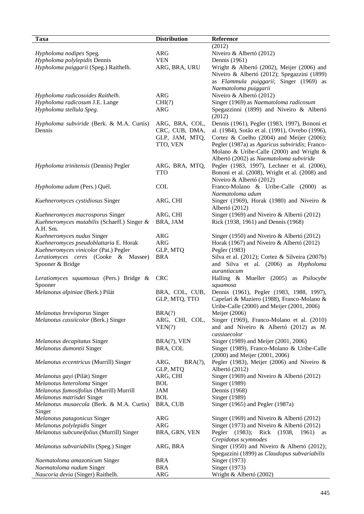| Taxa                                        | <b>Distribution</b> | Reference                                       |
|---------------------------------------------|---------------------|-------------------------------------------------|
|                                             |                     | (2012)                                          |
| Hypholoma nodipes Speg.                     | ARG                 | Niveiro & Albertó (2012)                        |
| Hypholoma polylepidis Dennis                | <b>VEN</b>          | Dennis (1961)                                   |
| Hypholoma puiggarii (Speg.) Raithelh.       | ARG, BRA, URU       | Wright & Albertó (2002), Meijer (2006) and      |
|                                             |                     | Niveiro & Albertó (2012); Spegazzini (1899)     |
|                                             |                     | as Flammula puiggarii; Singer (1969) as         |
|                                             |                     | Naematoloma puiggarii                           |
| Hypholoma radicosoides Raithelh.            | <b>ARG</b>          | Niveiro & Albertó (2012)                        |
| Hypholoma radicosum J.E. Lange              | CHI(?)              | Singer (1969) as Naematoloma radicosum          |
| Hypholoma stellula Speg.                    | ARG                 | Spegazzinni (1899) and Niveiro & Albertó        |
|                                             |                     | (2012)                                          |
| Hypholoma subviride (Berk. & M.A. Curtis)   | ARG, BRA, COL,      | Dennis (1961), Pegler (1983, 1997), Bononi et   |
| Dennis                                      | CRC, CUB, DMA,      | al. (1984), Sotão et al. (1991), Ovrebo (1996), |
|                                             | GLP, JAM, MTQ,      | Cortez & Coelho $(2004)$ and Meijer $(2006)$ ;  |
|                                             | TTO, VEN            | Pegler (1987a) as Agaricus subviridis; Franco-  |
|                                             |                     | Molano & Uribe-Calle (2000) and Wright &        |
|                                             |                     | Albertó (2002) as Naematoloma subviride         |
| Hypholoma trinitensis (Dennis) Pegler       | ARG, BRA, MTQ,      | Pegler (1983, 1997), Lechner et al. (2006),     |
|                                             | <b>TTO</b>          | Bononi et al. (2008), Wright et al. (2008) and  |
|                                             |                     | Niveiro & Albertó (2012)                        |
| Hypholoma udum (Pers.) Quél.                | <b>COL</b>          | Franco-Molano & Uribe-Calle (2000) as           |
|                                             |                     | Naematoloma udum                                |
| Kuehneromyces cystidiosus Singer            | ARG, CHI            | Singer (1969), Horak (1980) and Niveiro $\&$    |
|                                             |                     | Albertó (2012)                                  |
| Kuehneromyces macrosporus Singer            | ARG, CHI            | Singer (1969) and Niveiro & Albertó (2012)      |
| Kuehneromyces mutabilis (Schaeff.) Singer & | BRA, JAM            | Rick (1938, 1961) and Dennis (1968)             |
| A.H. Sm.                                    |                     |                                                 |
| Kuehneromyces nudus Singer                  | <b>ARG</b>          | Singer (1950) and Niveiro & Albertó (2012)      |
| Kuehneromyces pseudoblattaria E. Horak      | <b>ARG</b>          | Horak (1967) and Niveiro & Albertó (2012)       |
| Kuehneromyces vinicolor (Pat.) Pegler       | GLP, MTQ            | Pegler (1983)                                   |
| Leratiomyces ceres (Cooke & Massee)         | BRA                 | Silva et al. (2012); Cortez & Silveira (2007b)  |
| Spooner & Bridge                            |                     | and Silva et al. (2006) as Hypholoma            |
|                                             |                     | aurantiacum                                     |
| Leratiomyces squamosus (Pers.) Bridge &     | <b>CRC</b>          | Halling & Mueller (2005) as Psilocybe           |
| Spooner                                     |                     | squamosa                                        |
| Melanotus alpiniae (Berk.) Pilát            | BRA, COL, CUB,      | Dennis (1961), Pegler (1983, 1988, 1997),       |
|                                             | GLP, MTQ, TTO       | Capelari & Maziero (1988), Franco-Molano &      |
|                                             |                     | Uribe-Calle (2000) and Meijer (2001, 2006)      |
| Melanotus brevisporus Singer                | BRA(?)              | Meijer (2006)                                   |
| Melanotus cassiicolor (Berk.) Singer        | ARG, CHI, COL,      | Singer (1969), Franco-Molano et al. (2010)      |
|                                             | VEN(?)              | and and Niveiro & Albertó $(2012)$ as M.        |
|                                             |                     | cassiaecolor                                    |
| Melanotus decapitatus Singer                | $BRA(?)$ , VEN      | Singer (1989) and Meijer (2001, 2006)           |
| Melanotus dumontii Singer                   | BRA, COL            | Singer (1989), Franco-Molano & Uribe-Calle      |
|                                             |                     | (2000) and Meijer (2001, 2006)                  |
| Melanotus eccentricus (Murrill) Singer      | BRA(?)<br>ARG,      | Pegler (1983), Meijer (2006) and Niveiro $\&$   |
|                                             | GLP, MTQ            | Albertó (2012)                                  |
| Melanotus gayi (Pilát) Singer               | ARG, CHI            | Singer (1969) and Niveiro & Albertó (2012)      |
| Melanotus heteroloma Singer                 | <b>BOL</b>          | Singer (1989)                                   |
| Melanotus fumosifolius (Murrill) Murrill    | <b>JAM</b>          | Dennis (1968)                                   |
| Melanotus matrisdei Singer                  | <b>BOL</b>          | Singer (1989)                                   |
| Melanotus musaecola (Berk. & M.A. Curtis)   | BRA, CUB            | Singer (1965) and Pegler (1987a)                |
| Singer                                      |                     |                                                 |
| Melanotus patagonicus Singer                | <b>ARG</b>          | Singer (1969) and Niveiro & Albertó (2012)      |
| Melanotus polylepidis Singer                | <b>ARG</b>          | Singer (1973) and Niveiro & Albertó (2012)      |
| Melanotus subcuneifolius (Murrill) Singer   | BRA, GRN, VEN       | (1983);<br>Rick (1938,<br>Pegler<br>1961)<br>as |
|                                             |                     | Crepidotus scymnodes                            |
| Melanotus subvariabilis (Speg.) Singer      | ARG, BRA            | Singer (1950) and Niveiro & Albertó (2012);     |
|                                             |                     | Spegazzini (1899) as Claudopus subvariabilis    |
| Naematoloma amazonicum Singer               | <b>BRA</b>          | Singer (1973)                                   |
| Naematoloma nudum Singer                    | <b>BRA</b>          | Singer (1973)                                   |
| Naucoria devia (Singer) Raithelh.           | <b>ARG</b>          | Wright & Albertó (2002)                         |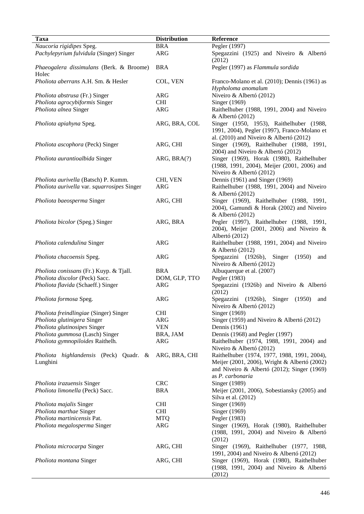| Taxa                                               | <b>Distribution</b> | Reference                                                                                                                                   |
|----------------------------------------------------|---------------------|---------------------------------------------------------------------------------------------------------------------------------------------|
| Naucoria rigidipes Speg.                           | <b>BRA</b>          | Pegler (1997)                                                                                                                               |
| Pachylepyrium fulvidula (Singer) Singer            | <b>ARG</b>          | Spegazzini (1925) and Niveiro & Albertó<br>(2012)                                                                                           |
| Phaeogalera dissimulans (Berk. & Broome)<br>Holec  | <b>BRA</b>          | Pegler (1997) as Flammula sordida                                                                                                           |
| Pholiota aberrans A.H. Sm. & Hesler                | COL, VEN            | Franco-Molano et al. (2010); Dennis (1961) as<br>Hypholoma anomalum                                                                         |
|                                                    | ARG                 | Niveiro & Albertó (2012)                                                                                                                    |
| Pholiota abstrusa (Fr.) Singer                     | <b>CHI</b>          |                                                                                                                                             |
| Pholiota agrocybiformis Singer                     | <b>ARG</b>          | Singer (1969)                                                                                                                               |
| Pholiota alnea Singer                              |                     | Raithelhuber (1988, 1991, 2004) and Niveiro<br>& Albertó (2012)                                                                             |
| Pholiota apiahyna Speg.                            | ARG, BRA, COL       | Singer (1950, 1953), Raithelhuber (1988,<br>1991, 2004), Pegler (1997), Franco-Molano et<br>al. $(2010)$ and Niveiro & Albertó $(2012)$     |
| Pholiota ascophora (Peck) Singer                   | ARG, CHI            | Singer (1969), Raithelhuber (1988, 1991,<br>2004) and Niveiro & Albertó (2012)                                                              |
| Pholiota aurantioalbida Singer                     | ARG, BRA(?)         | Singer (1969), Horak (1980), Raithelhuber                                                                                                   |
|                                                    |                     | (1988, 1991, 2004), Meijer (2001, 2006) and<br>Niveiro & Albertó (2012)                                                                     |
| Pholiota aurivella (Batsch) P. Kumm.               | CHI, VEN            | Dennis (1961) and Singer (1969)                                                                                                             |
| Pholiota aurivella var. squarrosipes Singer        | <b>ARG</b>          | Raithelhuber (1988, 1991, 2004) and Niveiro                                                                                                 |
|                                                    |                     | & Albertó (2012)                                                                                                                            |
| Pholiota baeosperma Singer                         | ARG, CHI            | Singer (1969), Raithelhuber (1988, 1991,<br>2004), Gamundi & Horak (2002) and Niveiro<br>& Albertó (2012)                                   |
| Pholiota bicolor (Speg.) Singer                    | ARG, BRA            | Pegler (1997), Raithelhuber (1988, 1991,<br>2004), Meijer (2001, 2006) and Niveiro &<br>Albertó (2012)                                      |
| Pholiota calendulina Singer                        | <b>ARG</b>          | Raithelhuber (1988, 1991, 2004) and Niveiro<br>& Albertó (2012)                                                                             |
| Pholiota chacoensis Speg.                          | <b>ARG</b>          | Spegazzini (1926b), Singer<br>(1950)<br>and<br>Niveiro & Albertó (2012)                                                                     |
| Pholiota conissans (Fr.) Kuyp. & Tjall.            | <b>BRA</b>          | Albuquerque et al. (2007)                                                                                                                   |
| Pholiota discolor (Peck) Sacc.                     | DOM, GLP, TTO       | Pegler (1983)                                                                                                                               |
| Pholiota flavida (Schaeff.) Singer                 | ARG                 | Spegazzini (1926b) and Niveiro & Albertó<br>(2012)                                                                                          |
| Pholiota formosa Speg.                             | <b>ARG</b>          | Spegazzini (1926b), Singer (1950)<br>and<br>Niveiro & Albertó (2012)                                                                        |
| Pholiota freindlingiae (Singer) Singer             | <b>CHI</b>          | Singer (1969)                                                                                                                               |
| Pholiota glutinigera Singer                        | ARG                 | Singer (1959) and Niveiro & Albertó (2012)                                                                                                  |
| Pholiota glutinosipes Singer                       | <b>VEN</b>          | Dennis (1961)                                                                                                                               |
| Pholiota gummosa (Lasch) Singer                    | BRA, JAM            | Dennis (1968) and Pegler (1997)                                                                                                             |
| Pholiota gymnopiloides Raithelh.                   | ARG                 | Raithelhuber (1974, 1988, 1991, 2004) and                                                                                                   |
|                                                    |                     | Niveiro & Albertó (2012)                                                                                                                    |
| Pholiota highlandensis (Peck) Quadr. &<br>Lunghini | ARG, BRA, CHI       | Raithelhuber (1974, 1977, 1988, 1991, 2004),<br>Meijer (2001, 2006), Wright & Albertó (2002)<br>and Niveiro & Albertó (2012); Singer (1969) |
|                                                    |                     | as P. carbonaria                                                                                                                            |
| Pholiota irazuensis Singer                         | <b>CRC</b>          | Singer (1989)                                                                                                                               |
| Pholiota limonella (Peck) Sacc.                    | <b>BRA</b>          | Meijer (2001, 2006), Sobestiansky (2005) and<br>Silva et al. (2012)                                                                         |
| Pholiota majalis Singer                            | <b>CHI</b>          | Singer (1969)                                                                                                                               |
| Pholiota marthae Singer                            | <b>CHI</b>          | Singer (1969)                                                                                                                               |
| Pholiota martinicensis Pat.                        | <b>MTQ</b>          | Pegler (1983)                                                                                                                               |
| Pholiota megalosperma Singer                       | ARG                 | Singer (1969), Horak (1980), Raithelhuber<br>(1988, 1991, 2004) and Niveiro & Albertó<br>(2012)                                             |
| Pholiota microcarpa Singer                         | ARG, CHI            | Singer (1969), Raithelhuber (1977, 1988,<br>1991, 2004) and Niveiro & Albertó (2012)                                                        |
| Pholiota montana Singer                            | ARG, CHI            | Singer (1969), Horak (1980), Raithelhuber<br>(1988, 1991, 2004) and Niveiro & Albertó<br>(2012)                                             |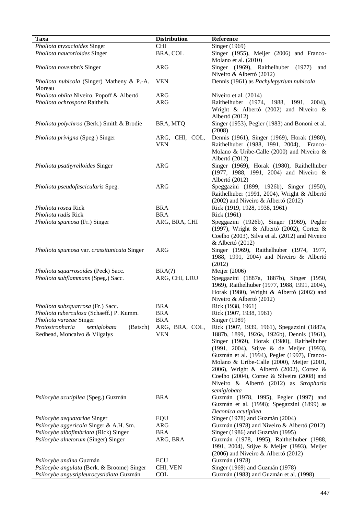| Taxa                                                                       | <b>Distribution</b>          | Reference                                                                                                                                                                                                                                                                                                                                                                                                                            |
|----------------------------------------------------------------------------|------------------------------|--------------------------------------------------------------------------------------------------------------------------------------------------------------------------------------------------------------------------------------------------------------------------------------------------------------------------------------------------------------------------------------------------------------------------------------|
| Pholiota myxacioides Singer                                                | <b>CHI</b>                   | Singer (1969)                                                                                                                                                                                                                                                                                                                                                                                                                        |
| Pholiota naucorioides Singer                                               | BRA, COL                     | Singer (1955), Meijer (2006) and Franco-<br>Molano et al. (2010)                                                                                                                                                                                                                                                                                                                                                                     |
| Pholiota novembris Singer                                                  | <b>ARG</b>                   | Singer (1969), Raithelhuber (1977)<br>and<br>Niveiro & Albertó (2012)                                                                                                                                                                                                                                                                                                                                                                |
| Pholiota nubicola (Singer) Matheny & P.-A.<br>Moreau                       | <b>VEN</b>                   | Dennis (1961) as Pachylepyrium nubicola                                                                                                                                                                                                                                                                                                                                                                                              |
| Pholiota oblita Niveiro, Popoff & Albertó                                  | <b>ARG</b>                   | Niveiro et al. (2014)                                                                                                                                                                                                                                                                                                                                                                                                                |
| Pholiota ochrospora Raithelh.                                              | <b>ARG</b>                   | Raithelhuber (1974, 1988, 1991, 2004),                                                                                                                                                                                                                                                                                                                                                                                               |
|                                                                            |                              | Wright & Albertó (2002) and Niveiro $\&$<br>Albertó (2012)                                                                                                                                                                                                                                                                                                                                                                           |
| Pholiota polychroa (Berk.) Smith & Brodie                                  | BRA, MTQ                     | Singer (1953), Pegler (1983) and Bononi et al.<br>(2008)                                                                                                                                                                                                                                                                                                                                                                             |
| Pholiota privigna (Speg.) Singer                                           | ARG, CHI, COL,<br><b>VEN</b> | Dennis (1961), Singer (1969), Horak (1980),<br>Raithelhuber (1988, 1991, 2004), Franco-<br>Molano & Uribe-Calle (2000) and Niveiro $\&$<br>Albertó (2012)                                                                                                                                                                                                                                                                            |
| Pholiota psathyrelloides Singer                                            | <b>ARG</b>                   | Singer (1969), Horak (1980), Raithelhuber<br>(1977, 1988, 1991, 2004) and Niveiro &<br>Albertó (2012)                                                                                                                                                                                                                                                                                                                                |
| Pholiota pseudofascicularis Speg.                                          | <b>ARG</b>                   | Speggazini (1899, 1926b), Singer (1950),                                                                                                                                                                                                                                                                                                                                                                                             |
|                                                                            |                              | Raithelhuber (1991, 2004), Wright & Albertó<br>$(2002)$ and Niveiro & Albertó $(2012)$                                                                                                                                                                                                                                                                                                                                               |
| Pholiota rosea Rick                                                        | <b>BRA</b>                   | Rick (1919, 1928, 1938, 1961)                                                                                                                                                                                                                                                                                                                                                                                                        |
| Pholiota rudis Rick                                                        | <b>BRA</b>                   | Rick (1961)                                                                                                                                                                                                                                                                                                                                                                                                                          |
| Pholiota spumosa (Fr.) Singer                                              | ARG, BRA, CHI                | Speggazini (1926b), Singer (1969), Pegler<br>(1997), Wright & Albertó (2002), Cortez &<br>Coelho (2003), Silva et al. (2012) and Niveiro<br>& Albertó (2012)                                                                                                                                                                                                                                                                         |
| Pholiota spumosa var. crassitunicata Singer                                | <b>ARG</b>                   | Singer (1969), Raithelhuber (1974, 1977,<br>1988, 1991, 2004) and Niveiro & Albertó<br>(2012)                                                                                                                                                                                                                                                                                                                                        |
| Pholiota squarrosoides (Peck) Sacc.                                        | BRA(?)                       | Meijer (2006)                                                                                                                                                                                                                                                                                                                                                                                                                        |
| Pholiota subflammans (Speg.) Sacc.                                         | ARG, CHI, URU                | Speggazini (1887a, 1887b), Singer (1950,<br>1969), Raithelhuber (1977, 1988, 1991, 2004),<br>Horak (1980), Wright & Albertó (2002) and<br>Niveiro & Albertó (2012)                                                                                                                                                                                                                                                                   |
| Pholiota subsquarrosa (Fr.) Sacc.                                          | <b>BRA</b>                   | Rick (1938, 1961)                                                                                                                                                                                                                                                                                                                                                                                                                    |
| Pholiota tuberculosa (Schaeff.) P. Kumm.                                   | <b>BRA</b>                   | Rick (1907, 1938, 1961)                                                                                                                                                                                                                                                                                                                                                                                                              |
| Pholiota varzeae Singer                                                    | <b>BRA</b>                   | Singer (1989)                                                                                                                                                                                                                                                                                                                                                                                                                        |
| Protostropharia<br>semiglobata<br>(Batsch)<br>Redhead, Moncalvo & Vilgalys | ARG, BRA, COL,<br><b>VEN</b> | Rick (1907, 1939, 1961), Spegazzini (1887a,<br>1887b, 1899, 1926a, 1926b), Dennis (1961),<br>Singer (1969), Horak (1980), Raithelhuber<br>(1991, 2004), Stijve & de Meijer (1993),<br>Guzmán et al. (1994), Pegler (1997), Franco-<br>Molano & Uribe-Calle (2000), Meijer (2001,<br>2006), Wright & Albertó (2002), Cortez &<br>Coelho (2004), Cortez & Silveira (2008) and<br>Niveiro & Albertó (2012) as Stropharia<br>semiglobata |
| Psilocybe acutipilea (Speg.) Guzmán                                        | <b>BRA</b>                   | Guzmán (1978, 1995), Pegler (1997) and<br>Guzmán et al. (1998); Spegazzini (1899) as<br>Deconica acutipilea                                                                                                                                                                                                                                                                                                                          |
| Psilocybe aequatoriae Singer                                               | EQU                          | Singer (1978) and Guzmán (2004)                                                                                                                                                                                                                                                                                                                                                                                                      |
| Psilocybe aggericola Singer & A.H. Sm.                                     | <b>ARG</b>                   | Guzmán (1978) and Niveiro & Albertó (2012)                                                                                                                                                                                                                                                                                                                                                                                           |
| Psilocybe albofimbriata (Rick) Singer                                      | <b>BRA</b>                   | Singer (1986) and Guzmán (1995)                                                                                                                                                                                                                                                                                                                                                                                                      |
| Psilocybe alnetorum (Singer) Singer                                        | ARG, BRA                     | Guzmán (1978, 1995), Raithelhuber (1988,<br>1991, 2004), Stijve & Meijer (1993), Meijer<br>$(2006)$ and Niveiro & Albertó $(2012)$                                                                                                                                                                                                                                                                                                   |
| Psilocybe andina Guzmán                                                    | <b>ECU</b>                   | Guzmán (1978)                                                                                                                                                                                                                                                                                                                                                                                                                        |
| Psilocybe angulata (Berk. & Broome) Singer                                 | CHI, VEN                     | Singer (1969) and Guzmán (1978)                                                                                                                                                                                                                                                                                                                                                                                                      |
| Psilocybe angustipleurocystidiata Guzmán                                   | <b>COL</b>                   | Guzmán (1983) and Guzmán et al. (1998)                                                                                                                                                                                                                                                                                                                                                                                               |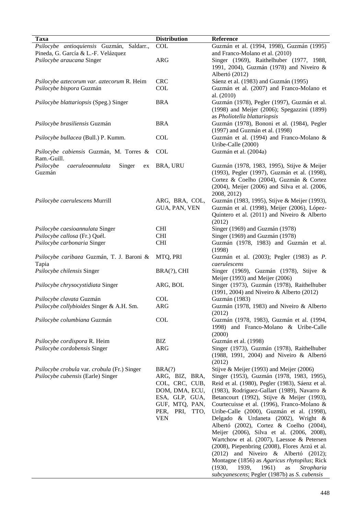| <b>Taxa</b>                                                                      | <b>Distribution</b>                                | Reference                                                                                                                                                                                             |
|----------------------------------------------------------------------------------|----------------------------------------------------|-------------------------------------------------------------------------------------------------------------------------------------------------------------------------------------------------------|
| Psilocybe antioquiensis Guzmán, Saldarr.,<br>Pineda, G. García & L.-F. Velázquez | COL                                                | Guzmán et al. (1994, 1998), Guzmán (1995)<br>and Franco-Molano et al. (2010)                                                                                                                          |
| Psilocybe araucana Singer                                                        | <b>ARG</b>                                         | Singer (1969), Raithelhuber (1977, 1988,<br>1991, 2004), Guzmán (1978) and Niveiro &<br>Albertó (2012)                                                                                                |
| Psilocybe aztecorum var. aztecorum R. Heim                                       | <b>CRC</b>                                         | Sáenz et al. (1983) and Guzmán (1995)                                                                                                                                                                 |
| Psilocybe bispora Guzmán                                                         | <b>COL</b>                                         | Guzmán et al. (2007) and Franco-Molano et<br>al. $(2010)$                                                                                                                                             |
| Psilocybe blattariopsis (Speg.) Singer                                           | <b>BRA</b>                                         | Guzmán (1978), Pegler (1997), Guzmán et al.<br>(1998) and Meijer (2006); Spegazzini (1899)<br>as Pholiotella blattariopsis                                                                            |
| Psilocybe brasiliensis Guzmán                                                    | <b>BRA</b>                                         | Guzmán (1978), Bononi et al. (1984), Pegler<br>(1997) and Guzmán et al. (1998)                                                                                                                        |
| Psilocybe bullacea (Bull.) P. Kumm.                                              | <b>COL</b>                                         | Guzmán et al. (1994) and Franco-Molano &<br>Uribe-Calle (2000)                                                                                                                                        |
| Psilocybe cabiensis Guzmán, M. Torres &<br>Ram.-Guill.                           | <b>COL</b>                                         | Guzmán et al. (2004a)                                                                                                                                                                                 |
| Psilocybe<br>caeruleoannulata<br>Singer<br>ex<br>Guzmán                          | BRA, URU                                           | Guzmán (1978, 1983, 1995), Stijve & Meijer<br>(1993), Pegler (1997), Guzmán et al. (1998),<br>Cortez & Coelho (2004), Guzmán & Cortez<br>(2004), Meijer (2006) and Silva et al. (2006,<br>2008, 2012) |
| Psilocybe caerulescens Murrill                                                   | ARG, BRA, COL,<br>GUA, PAN, VEN                    | Guzmán (1983, 1995), Stijve & Meijer (1993),<br>Guzmán et al. (1998), Meijer (2006), López-<br>Quintero et al. (2011) and Niveiro & Alberto<br>(2012)                                                 |
| Psilocybe caesioannulata Singer                                                  | <b>CHI</b>                                         | Singer (1969) and Guzmán (1978)                                                                                                                                                                       |
| Psilocybe callosa (Fr.) Quél.                                                    | <b>CHI</b>                                         | Singer (1969) and Guzmán (1978)                                                                                                                                                                       |
| Psilocybe carbonaria Singer                                                      | <b>CHI</b>                                         | Guzmán (1978, 1983) and Guzmán et al.<br>(1998)                                                                                                                                                       |
| Psilocybe caribaea Guzmán, T. J. Baroni &                                        | MTQ, PRI                                           | Guzmán et al. (2003); Pegler (1983) as P.<br>caerulescens                                                                                                                                             |
| Tapia<br>Psilocybe chilensis Singer                                              | BRA(?), CHI                                        | Singer (1969), Guzmán (1978), Stijve &<br>Meijer (1993) and Meijer (2006)                                                                                                                             |
| Psilocybe chrysocystidiata Singer                                                | ARG, BOL                                           | Singer (1973), Guzmán (1978), Raithelhuber<br>(1991, 2004) and Niveiro & Alberto (2012)                                                                                                               |
| Psilocybe clavata Guzmán                                                         | <b>COL</b>                                         | Guzmán (1983)                                                                                                                                                                                         |
| Psilocybe collybioides Singer & A.H. Sm.                                         | <b>ARG</b>                                         | Guzmán (1978, 1983) and Niveiro & Alberto<br>(2012)                                                                                                                                                   |
| Psilocybe columbiana Guzmán                                                      | COL                                                | Guzmán (1978, 1983), Guzmán et al. (1994,<br>1998) and Franco-Molano & Uribe-Calle<br>(2000)                                                                                                          |
| Psilocybe cordispora R. Heim                                                     | BIZ                                                | Guzmán et al. (1998)                                                                                                                                                                                  |
| Psilocybe cordobensis Singer                                                     | ARG                                                | Singer (1973), Guzmán (1978), Raithelhuber<br>(1988, 1991, 2004) and Niveiro & Albertó<br>(2012)                                                                                                      |
| Psilocybe crobula var. crobula (Fr.) Singer<br>Psilocybe cubensis (Earle) Singer | BRA(?)<br>ARG, BIZ, BRA,                           | Stijve & Meijer (1993) and Meijer (2006)<br>Singer (1953), Guzmán (1978, 1983, 1995),                                                                                                                 |
|                                                                                  | COL, CRC, CUB,<br>DOM, DMA, ECU,<br>ESA, GLP, GUA, | Reid et al. (1980), Pegler (1983), Sáenz et al.<br>(1983), Rodriguez-Gallart (1989), Navarro &<br>Betancourt (1992), Stijve & Meijer (1993),                                                          |
|                                                                                  | GUF, MTQ, PAN,                                     | Courtecuisse et al. (1996), Franco-Molano &                                                                                                                                                           |
|                                                                                  | PER, PRI, TTO,<br><b>VEN</b>                       | Uribe-Calle (2000), Guzmán et al. (1998),<br>Delgado & Urdaneta (2002), Wright &                                                                                                                      |
|                                                                                  |                                                    | Albertó (2002), Cortez & Coelho (2004),<br>Meijer (2006), Silva et al. (2006, 2008),                                                                                                                  |
|                                                                                  |                                                    | Wartchow et al. (2007), Laessoe & Petersen<br>(2008), Piepenbring (2008), Flores Arzú et al.                                                                                                          |
|                                                                                  |                                                    | $(2012)$ and Niveiro & Albertó $(2012)$ ;<br>Montagne (1856) as Agaricus rhytopilus; Rick                                                                                                             |
|                                                                                  |                                                    | (1930,<br>1939,<br>1961)<br>as<br>Stropharia<br>subcyanescens; Pegler (1987b) as S. cubensis                                                                                                          |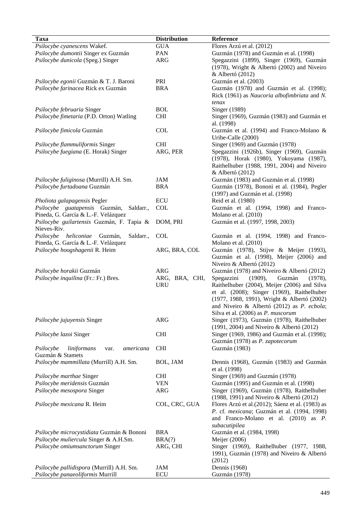| <b>Taxa</b>                                   | <b>Distribution</b> | Reference                                         |
|-----------------------------------------------|---------------------|---------------------------------------------------|
| Psilocybe cyanescens Wakef.                   | <b>GUA</b>          | Flores Arzú et al. (2012)                         |
|                                               |                     |                                                   |
| Psilocybe dumontii Singer ex Guzmán           | PAN                 | Guzmán (1978) and Guzmán et al. (1998)            |
| Psilocybe dunicola (Speg.) Singer             | ARG                 | Spegazzini (1899), Singer (1969), Guzmán          |
|                                               |                     | (1978), Wright & Albertó (2002) and Niveiro       |
|                                               |                     | & Albertó (2012)                                  |
| Psilocybe egonii Guzmán & T. J. Baroni        | PRI                 | Guzmán et al. (2003)                              |
| Psilocybe farinacea Rick ex Guzmán            | <b>BRA</b>          | Guzmán (1978) and Guzmán et al. (1998);           |
|                                               |                     | Rick (1961) as Naucoria albofimbriata and N.      |
|                                               |                     | tenax                                             |
| Psilocybe februaria Singer                    | <b>BOL</b>          | Singer (1989)                                     |
| Psilocybe fimetaria (P.D. Orton) Watling      | <b>CHI</b>          | Singer (1969), Guzmán (1983) and Guzmán et        |
|                                               |                     | al. (1998)                                        |
| Psilocybe fimicola Guzmán                     | <b>COL</b>          | Guzmán et al. (1994) and Franco-Molano &          |
|                                               |                     | Uribe-Calle (2000)                                |
| Psilocybe flammuliformis Singer               | <b>CHI</b>          | Singer (1969) and Guzmán (1978)                   |
| Psilocybe fuegiana (E. Horak) Singer          | ARG, PER            | Spegazzini (1926b), Singer (1969), Guzmán         |
|                                               |                     | (1978), Horak (1980), Yokoyama (1987),            |
|                                               |                     | Raithelhuber (1988, 1991, 2004) and Niveiro       |
|                                               |                     | & Albertó (2012)                                  |
| Psilocybe fuliginosa (Murrill) A.H. Sm.       | JAM                 | Guzmán (1983) and Guzmán et al. (1998)            |
| Psilocybe furtadoana Guzmán                   | <b>BRA</b>          | Guzmán (1978), Bononi et al. (1984), Pegler       |
|                                               |                     | (1997) and Guzmán et al. (1998)                   |
| Pholiota galapagensis Pegler                  | ECU                 | Reid et al. (1980)                                |
| Psilocybe guatapensis Guzmán,<br>Saldarr.,    | COL                 | Guzmán et al. (1994, 1998) and Franco-            |
| Pineda, G. García & L.-F. Velázquez           |                     | Molano et al. (2010)                              |
| Psilocybe guilartensis Guzmán, F. Tapia &     | DOM, PRI            | Guzmán et al. (1997, 1998, 2003)                  |
| Nieves-Riv.                                   |                     |                                                   |
| Psilocybe heliconiae Guzmán,<br>Saldarr.,     | <b>COL</b>          | Guzmán et al. (1994, 1998) and Franco-            |
| Pineda, G. García & L.-F. Velázquez           |                     | Molano et al. (2010)                              |
| Psilocybe hoogshagenii R. Heim                | ARG, BRA, COL       | Guzmán (1978), Stijve & Meijer (1993),            |
|                                               |                     | Guzmán et al. (1998), Meijer (2006) and           |
|                                               |                     | Niveiro & Albertó (2012)                          |
| Psilocybe horakii Guzmán                      | ARG                 | Guzmán (1978) and Niveiro & Albertó (2012)        |
| Psilocybe inquilina (Fr.: Fr.) Bres.          | ARG, BRA, CHI,      | Spegazzini<br>Guzmán<br>(1909),<br>(1978),        |
|                                               | <b>URU</b>          | Raithelhuber (2004), Meijer (2006) and Silva      |
|                                               |                     | et al. (2008); Singer (1969), Raithelhuber        |
|                                               |                     | (1977, 1988, 1991), Wright & Albertó (2002)       |
|                                               |                     | and Niveiro & Albertó (2012) as P. ecbola;        |
|                                               |                     | Silva et al. (2006) as P. muscorum                |
| Psilocybe jujuyensis Singer                   | <b>ARG</b>          | Singer (1973), Guzmán (1978), Raithelhuber        |
|                                               |                     | (1991, 2004) and Niveiro & Albertó (2012)         |
|                                               |                     |                                                   |
| Psilocybe lazoi Singer                        | <b>CHI</b>          | Singer (1969, 1986) and Guzmán et al. (1998);     |
|                                               |                     | Guzmán (1978) as P. zapotecorum                   |
| Psilocybe<br>liniformans<br>americana<br>var. | <b>CHI</b>          | Guzmán (1983)                                     |
| Guzmán & Stamets                              |                     |                                                   |
| Psilocybe mammillata (Murrill) A.H. Sm.       | BOL, JAM            | Dennis (1968), Guzmán (1983) and Guzmán           |
|                                               |                     | et al. (1998)                                     |
| Psilocybe marthae Singer                      | <b>CHI</b>          | Singer (1969) and Guzmán (1978)                   |
| Psilocybe meridensis Guzmán                   | <b>VEN</b>          | Guzmán (1995) and Guzmán et al. (1998)            |
| Psilocybe mesospora Singer                    | <b>ARG</b>          | Singer (1969), Guzmán (1978), Raithelhuber        |
|                                               |                     | (1988, 1991) and Niveiro & Albertó (2012)         |
| Psilocybe mexicana R. Heim                    | COL, CRC, GUA       | Flores Arzú et al. (2012); Sáenz et al. (1983) as |
|                                               |                     | P. cf. mexicana; Guzmán et al. (1994, 1998)       |
|                                               |                     | and Franco-Molano et al. (2010) as P.             |
|                                               |                     | subacutipilea                                     |
| Psilocybe microcystidiata Guzmán & Bononi     | <b>BRA</b>          | Guzmán et al. (1984, 1998)                        |
| Psilocybe muliercula Singer & A.H.Sm.         | BRA(?)              | Meijer (2006)                                     |
| Psilocybe omiumsanctorum Singer               | ARG, CHI            | Singer (1969), Raithelhuber (1977, 1988,          |
|                                               |                     | 1991), Guzmán (1978) and Niveiro & Albertó        |
|                                               |                     | (2012)                                            |
| Psilocybe pallidispora (Murrill) A.H. Sm.     | JAM                 | Dennis (1968)                                     |
| Psilocybe panaeoliformis Murrill              | <b>ECU</b>          | Guzmán (1978)                                     |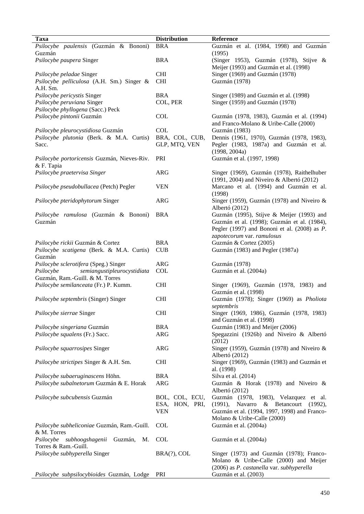| <b>Taxa</b>                                                                   | <b>Distribution</b> | Reference                                                  |
|-------------------------------------------------------------------------------|---------------------|------------------------------------------------------------|
| Psilocybe paulensis (Guzmán & Bononi)                                         | <b>BRA</b>          | Guzmán et al. (1984, 1998) and Guzmán                      |
| Guzmán                                                                        |                     | (1995)                                                     |
| Psilocybe paupera Singer                                                      | <b>BRA</b>          | (Singer 1953), Guzmán (1978), Stijve &                     |
|                                                                               |                     | Meijer (1993) and Guzmán et al. (1998)                     |
| Psilocybe peladae Singer                                                      | <b>CHI</b>          | Singer (1969) and Guzmán (1978)                            |
| Psilocybe pelliculosa (A.H. Sm.) Singer &                                     | <b>CHI</b>          | Guzmán (1978)                                              |
| A.H. Sm.                                                                      |                     |                                                            |
| Psilocybe pericystis Singer                                                   | <b>BRA</b>          | Singer (1989) and Guzmán et al. (1998)                     |
| Psilocybe peruviana Singer                                                    | COL, PER            | Singer (1959) and Guzmán (1978)                            |
| Psilocybe phyllogena (Sacc.) Peck                                             |                     |                                                            |
| Psilocybe pintonii Guzmán                                                     | <b>COL</b>          | Guzmán (1978, 1983), Guzmán et al. (1994)                  |
|                                                                               | <b>COL</b>          | and Franco-Molano & Uribe-Calle (2000)                     |
| Psilocybe pleurocystidiosa Guzmán<br>Psilocybe plutonia (Berk. & M.A. Curtis) | BRA, COL, CUB,      | Guzmán (1983)<br>Dennis (1961, 1970), Guzmán (1978, 1983), |
| Sacc.                                                                         | GLP, MTQ, VEN       | Pegler (1983, 1987a) and Guzmán et al.                     |
|                                                                               |                     | (1998, 2004a)                                              |
| Psilocybe portoricensis Guzmán, Nieves-Riv.                                   | PRI                 | Guzmán et al. (1997, 1998)                                 |
| & F. Tapia                                                                    |                     |                                                            |
| Psilocybe praetervisa Singer                                                  | <b>ARG</b>          | Singer (1969), Guzmán (1978), Raithelhuber                 |
|                                                                               |                     | (1991, 2004) and Niveiro & Albertó (2012)                  |
| Psilocybe pseudobullacea (Petch) Pegler                                       | <b>VEN</b>          | Marcano et al. (1994) and Guzmán et al.                    |
|                                                                               |                     | (1998)                                                     |
| Psilocybe pteridophytorum Singer                                              | <b>ARG</b>          | Singer (1959), Guzmán (1978) and Niveiro &                 |
|                                                                               |                     | Albertó (2012)                                             |
| Psilocybe ramulosa (Guzmán & Bononi)                                          | <b>BRA</b>          | Guzmán (1995), Stijve & Meijer (1993) and                  |
| Guzmán                                                                        |                     | Guzmán et al. (1998); Guzmán et al. (1984),                |
|                                                                               |                     | Pegler (1997) and Bononi et al. (2008) as $P$ .            |
|                                                                               |                     | zapotecorum var. ramulosus                                 |
| Psilocybe rickii Guzmán & Cortez<br>Psilocybe scatigena (Berk. & M.A. Curtis) | <b>BRA</b><br>CUB   | Guzmán & Cortez (2005)<br>Guzmán (1983) and Pegler (1987a) |
| Guzmán                                                                        |                     |                                                            |
| Psilocybe sclerotifera (Speg.) Singer                                         | <b>ARG</b>          | Guzmán (1978)                                              |
| Psilocybe<br>semiangustipleurocystidiata                                      | <b>COL</b>          | Guzmán et al. (2004a)                                      |
| Guzmán, Ram.-Guill. & M. Torres                                               |                     |                                                            |
| Psilocybe semilanceata (Fr.) P. Kumm.                                         | <b>CHI</b>          | Singer (1969), Guzmán (1978, 1983) and                     |
|                                                                               |                     | Guzmán et al. (1998)                                       |
| Psilocybe septembris (Singer) Singer                                          | <b>CHI</b>          | Guzmán (1978); Singer (1969) as Pholiota                   |
|                                                                               |                     | septembris                                                 |
| Psilocybe sierrae Singer                                                      | <b>CHI</b>          | Singer (1969, 1986), Guzmán (1978, 1983)                   |
|                                                                               |                     | and Guzmán et al. (1998)                                   |
| Psilocybe singeriana Guzmán                                                   | <b>BRA</b>          | Guzmán (1983) and Meijer (2006)                            |
| Psilocybe squalens (Fr.) Sacc.                                                | ARG                 | Spegazzini (1926b) and Niveiro & Albertó<br>(2012)         |
| Psilocybe squarrosipes Singer                                                 | ARG                 | Singer (1959), Guzmán (1978) and Niveiro &                 |
|                                                                               |                     | Albertó (2012)                                             |
| Psilocybe strictipes Singer & A.H. Sm.                                        | <b>CHI</b>          | Singer (1969), Guzmán (1983) and Guzmán et                 |
|                                                                               |                     | al. (1998)                                                 |
| Psilocybe subaeruginascens Höhn.                                              | <b>BRA</b>          | Silva et al. (2014)                                        |
| Psilocybe subalnetorum Guzmán & E. Horak                                      | <b>ARG</b>          | Guzmán & Horak (1978) and Niveiro &                        |
|                                                                               |                     | Albertó (2012)                                             |
| Psilocybe subcubensis Guzmán                                                  | BOL, COL, ECU,      | Guzmán (1978, 1983), Velazquez et al.                      |
|                                                                               | ESA, HON, PRI,      | $(1991)$ , Navarro &<br>Betancourt<br>(1992),              |
|                                                                               | <b>VEN</b>          | Guzmán et al. (1994, 1997, 1998) and Franco-               |
|                                                                               |                     | Molano & Uribe-Calle (2000)                                |
| Psilocybe subheliconiae Guzmán, Ram.-Guill.<br>& M. Torres                    | <b>COL</b>          | Guzmán et al. (2004a)                                      |
| Psilocybe subhoogshagenii<br>Guzmán,<br>M.                                    | <b>COL</b>          | Guzmán et al. (2004a)                                      |
| Torres & Ram.-Guill.                                                          |                     |                                                            |
| Psilocybe subhyperella Singer                                                 | BRA(?), COL         | Singer (1973) and Guzmán (1978); Franco-                   |
|                                                                               |                     | Molano & Uribe-Calle (2000) and Meijer                     |
|                                                                               |                     | (2006) as P. castanella var. subhyperella                  |
| Psilocybe subpsilocybioides Guzmán, Lodge                                     | PRI                 | Guzmán et al. (2003)                                       |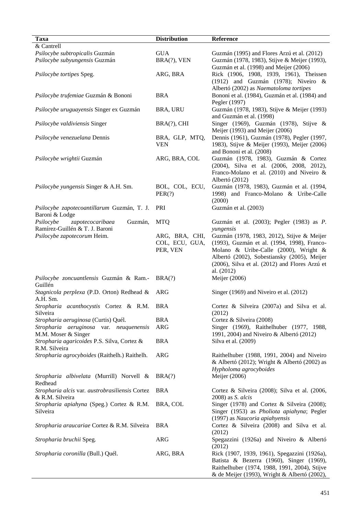| <b>Taxa</b>                                                                | <b>Distribution</b>                          | Reference                                                                                                                                                                                                                           |
|----------------------------------------------------------------------------|----------------------------------------------|-------------------------------------------------------------------------------------------------------------------------------------------------------------------------------------------------------------------------------------|
| & Cantrell                                                                 |                                              |                                                                                                                                                                                                                                     |
| Psilocybe subtropicalis Guzmán                                             | <b>GUA</b>                                   | Guzmán (1995) and Flores Arzú et al. (2012)                                                                                                                                                                                         |
| Psilocybe subyungensis Guzmán                                              | BRA(?), VEN                                  | Guzmán (1978, 1983), Stijve & Meijer (1993),<br>Guzmán et al. (1998) and Meijer (2006)                                                                                                                                              |
| Psilocybe tortipes Speg.                                                   | ARG, BRA                                     | Rick (1906, 1908, 1939, 1961), Theissen<br>(1912) and Guzmán (1978); Niveiro $\&$<br>Albertó (2002) as Naematoloma tortipes                                                                                                         |
| Psilocybe trufemiae Guzmán & Bononi                                        | <b>BRA</b>                                   | Bononi et al. (1984), Guzmán et al. (1984) and<br>Pegler (1997)                                                                                                                                                                     |
| Psilocybe uruguayensis Singer ex Guzmán                                    | BRA, URU                                     | Guzmán (1978, 1983), Stijve & Meijer (1993)<br>and Guzmán et al. (1998)                                                                                                                                                             |
| Psilocybe valdiviensis Singer                                              | BRA(?), CHI                                  | Singer (1969), Guzmán (1978), Stijve &<br>Meijer (1993) and Meijer (2006)                                                                                                                                                           |
| Psilocybe venezuelana Dennis                                               | BRA, GLP, MTQ,<br><b>VEN</b>                 | Dennis (1961), Guzmán (1978), Pegler (1997,<br>1983), Stijve & Meijer (1993), Meijer (2006)<br>and Bononi et al. (2008)                                                                                                             |
| Psilocybe wrightii Guzmán                                                  | ARG, BRA, COL                                | Guzmán (1978, 1983), Guzmán & Cortez<br>(2004), Silva et al. (2006, 2008, 2012),<br>Franco-Molano et al. (2010) and Niveiro &<br>Albertó (2012)                                                                                     |
| Psilocybe yungensis Singer & A.H. Sm.                                      | BOL, COL, ECU,<br>PER(?)                     | Guzmán (1978, 1983), Guzmán et al. (1994,<br>1998) and Franco-Molano & Uribe-Calle<br>(2000)                                                                                                                                        |
| Psilocybe zapotecoantillarum Guzmán, T. J.<br>Baroni & Lodge               | PRI                                          | Guzmán et al. (2003)                                                                                                                                                                                                                |
| Psilocybe<br>zapotecocaribaea<br>Guzmán,<br>Ramírez-Guillén & T. J. Baroni | <b>MTQ</b>                                   | Guzmán et al. (2003); Pegler (1983) as P.<br>yungensis                                                                                                                                                                              |
| Psilocybe zapotecorum Heim.                                                | ARG, BRA, CHI,<br>COL, ECU, GUA,<br>PER, VEN | Guzmán (1978, 1983, 2012), Stijve & Meijer<br>(1993), Guzmán et al. (1994, 1998), Franco-<br>Molano & Uribe-Calle (2000), Wright &<br>Albertó (2002), Sobestiansky (2005), Meijer<br>(2006), Silva et al. (2012) and Flores Arzú et |
| Psilocybe zoncuantlensis Guzmán & Ram.-<br>Guillén                         | BRA(?)                                       | al. (2012)<br>Meijer (2006)                                                                                                                                                                                                         |
| Stagnicola perplexa (P.D. Orton) Redhead &<br>A.H. Sm.                     | <b>ARG</b>                                   | Singer (1969) and Niveiro et al. (2012)                                                                                                                                                                                             |
| Stropharia acanthocystis Cortez & R.M. BRA<br>Silveira                     |                                              | Cortez & Silveira (2007a) and Silva et al.<br>(2012)                                                                                                                                                                                |
| Stropharia aeruginosa (Curtis) Quél.                                       | <b>BRA</b>                                   | Cortez & Silveira (2008)                                                                                                                                                                                                            |
| Stropharia aeruginosa var. neuquenensis<br>M.M. Moser & Singer             | <b>ARG</b>                                   | Singer (1969), Raithelhuber (1977, 1988,<br>1991, 2004) and Niveiro & Albertó (2012)                                                                                                                                                |
| Stropharia agaricoides P.S. Silva, Cortez &<br>R.M. Silveira               | <b>BRA</b>                                   | Silva et al. (2009)                                                                                                                                                                                                                 |
| Stropharia agrocyboides (Raithelh.) Raithelh.                              | <b>ARG</b>                                   | Raithelhuber (1988, 1991, 2004) and Niveiro<br>& Albertó (2012); Wright & Albertó (2002) as<br>Hypholoma agrocyboides                                                                                                               |
| Stropharia albivelata (Murrill) Norvell &<br>Redhead                       | BRA(?)                                       | Meijer (2006)                                                                                                                                                                                                                       |
| Stropharia alcis var. austrobrasiliensis Cortez<br>& R.M. Silveira         | <b>BRA</b>                                   | Cortez & Silveira (2008); Silva et al. (2006,<br>2008) as <i>S. alcis</i>                                                                                                                                                           |
| Stropharia apiahyna (Speg.) Cortez & R.M.<br>Silveira                      | BRA, COL                                     | Singer (1978) and Cortez & Silveira (2008);<br>Singer (1953) as Pholiota apiahyna; Pegler<br>(1997) as Naucoria apiahyensis                                                                                                         |
| Stropharia araucariae Cortez & R.M. Silveira                               | <b>BRA</b>                                   | Cortez & Silveira (2008) and Silva et al.<br>(2012)                                                                                                                                                                                 |
| Stropharia bruchii Speg.                                                   | <b>ARG</b>                                   | Spegazzini (1926a) and Niveiro & Albertó<br>(2012)                                                                                                                                                                                  |
| Stropharia coronilla (Bull.) Quél.                                         | ARG, BRA                                     | Rick (1907, 1939, 1961), Spegazzini (1926a),<br>Batista & Bezerra (1960), Singer (1969),<br>Raithelhuber (1974, 1988, 1991, 2004), Stijve<br>& de Meijer (1993), Wright & Albertó (2002),                                           |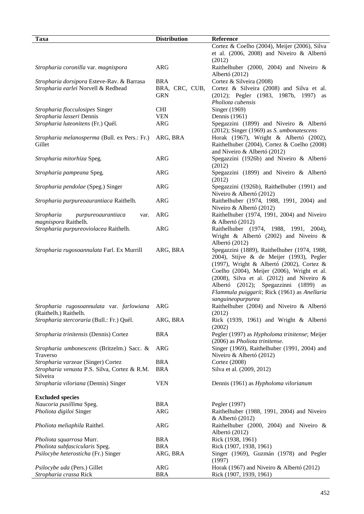| Taxa                                          | <b>Distribution</b> | Reference                                             |
|-----------------------------------------------|---------------------|-------------------------------------------------------|
|                                               |                     | Cortez & Coelho (2004), Meijer (2006), Silva          |
|                                               |                     | et al. (2006, 2008) and Niveiro & Albertó             |
|                                               |                     | (2012)                                                |
| Stropharia coronilla var. magnispora          | <b>ARG</b>          | Raithelhuber (2000, 2004) and Niveiro &               |
|                                               |                     | Albertó (2012)                                        |
| Stropharia dorsipora Esteve-Rav. & Barrasa    | <b>BRA</b>          | Cortez & Silveira (2008)                              |
|                                               |                     |                                                       |
| Stropharia earlei Norvell & Redhead           | BRA, CRC, CUB,      | Cortez & Silveira (2008) and Silva et al.             |
|                                               | <b>GRN</b>          | (2012); Pegler (1983, 1987b, 1997)<br>as              |
|                                               |                     | Pholiota cubensis                                     |
| Stropharia flocculosipes Singer               | <b>CHI</b>          | Singer (1969)                                         |
| Stropharia lasseri Dennis                     | <b>VEN</b>          | Dennis (1961)                                         |
| Stropharia luteonitens (Fr.) Quél.            | <b>ARG</b>          | Spegazzini (1899) and Niveiro & Albertó               |
|                                               |                     | $(2012)$ ; Singer $(1969)$ as <i>S. umbonatescens</i> |
| Stropharia melanosperma (Bull. ex Pers.: Fr.) | ARG, BRA            | Horak (1967), Wright & Albertó (2002),                |
| Gillet                                        |                     | Raithelhuber (2004), Cortez & Coelho (2008)           |
|                                               |                     | and Niveiro & Albertó (2012)                          |
| Stropharia mitorhiza Speg.                    | <b>ARG</b>          | Spegazzini (1926b) and Niveiro & Albertó              |
|                                               |                     | (2012)                                                |
| Stropharia pampeana Speg.                     | <b>ARG</b>          | Spegazzini (1899) and Niveiro & Albertó               |
|                                               |                     | (2012)                                                |
| Stropharia pendolae (Speg.) Singer            | <b>ARG</b>          | Spegazzini (1926b), Raithelhuber (1991) and           |
|                                               |                     | Niveiro & Albertó (2012)                              |
| Stropharia purpureoaurantiaca Raithelh.       | <b>ARG</b>          | Raithelhuber (1974, 1988, 1991, 2004) and             |
|                                               |                     | Niveiro & Albertó (2012)                              |
| Stropharia                                    | <b>ARG</b>          | Raithelhuber (1974, 1991, 2004) and Niveiro           |
| purpureoaurantiaca<br>var.                    |                     |                                                       |
| magnispora Raithelh.                          |                     | $&$ Albertó (2012)                                    |
| Stropharia purpureoviolacea Raithelh.         | <b>ARG</b>          | Raithelhuber (1974, 1988, 1991, 2004),                |
|                                               |                     | Wright & Albertó (2002) and Niveiro &                 |
|                                               |                     | Albertó (2012)                                        |
| Stropharia rugosoannulata Farl. Ex Murrill    | ARG, BRA            | Spegazzini (1889), Raithelhuber (1974, 1988,          |
|                                               |                     | 2004), Stijve & de Meijer (1993), Pegler              |
|                                               |                     | (1997), Wright & Albertó (2002), Cortez &             |
|                                               |                     | Coelho (2004), Meijer (2006), Wright et al.           |
|                                               |                     | (2008), Silva et al. (2012) and Niveiro $\&$          |
|                                               |                     | Albertó (2012); Spegazzinni (1899)<br>as              |
|                                               |                     | Flammula puiggarii; Rick (1961) as Anellaria          |
|                                               |                     | sanguineopurpurea                                     |
| Stropharia rugosoannulata var. farlowiana ARG |                     | Raithelhuber (2004) and Niveiro & Albertó             |
| (Raithelh.) Raithelh.                         |                     | (2012)                                                |
| Stropharia stercoraria (Bull.: Fr.) Quél.     | ARG, BRA            | Rick (1939, 1961) and Wright & Albertó                |
|                                               |                     | (2002)                                                |
| Stropharia trinitensis (Dennis) Cortez        | <b>BRA</b>          | Pegler (1997) as Hypholoma trinitense; Meijer         |
|                                               |                     | (2006) as Pholiota trinitense.                        |
| Stropharia umbonescens (Britzelm.) Sacc. &    | ARG                 | Singer (1969), Raithelhuber (1991, 2004) and          |
| Traverso                                      |                     | Niveiro & Albertó (2012)                              |
| Stropharia varzeae (Singer) Cortez            | <b>BRA</b>          | Cortez (2008)                                         |
| Stropharia venusta P.S. Silva, Cortez & R.M.  | <b>BRA</b>          | Silva et al. (2009, 2012)                             |
|                                               |                     |                                                       |
| Silveira                                      |                     |                                                       |
| Stropharia viloriana (Dennis) Singer          | <b>VEN</b>          | Dennis (1961) as Hypholoma vilorianum                 |
|                                               |                     |                                                       |
| <b>Excluded species</b>                       |                     |                                                       |
| Naucoria pusillima Speg.                      | <b>BRA</b>          | Pegler (1997)                                         |
| Pholiota digiloi Singer                       | <b>ARG</b>          | Raithelhuber (1988, 1991, 2004) and Niveiro           |
|                                               |                     | $&$ Albertó (2012)                                    |
| Pholiota meliaphila Raithel.                  | <b>ARG</b>          | Raithelhuber (2000, 2004) and Niveiro $\&$            |
|                                               |                     | Albertó (2012)                                        |
| Pholiota squarrosa Murr.                      | <b>BRA</b>          | Rick (1938, 1961)                                     |
| Pholiota subfascicularis Speg.                | <b>BRA</b>          | Rick (1907, 1938, 1961)                               |
| Psilocybe heterosticha (Fr.) Singer           | ARG, BRA            | Singer (1969), Guzmán (1978) and Pegler               |
|                                               |                     | (1997)                                                |
| Psilocybe uda (Pers.) Gillet                  | ARG                 | Horak (1967) and Niveiro & Albertó (2012)             |
| Stropharia crassa Rick                        | <b>BRA</b>          | Rick (1907, 1939, 1961)                               |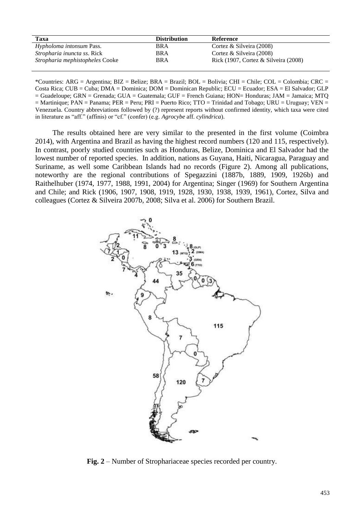| Taxa                                   | <b>Distribution</b> | <b>Reference</b>                                         |
|----------------------------------------|---------------------|----------------------------------------------------------|
| <i>Hypholoma intonsum Pass.</i>        | BRA                 | Cortez & Silveira $(2008)$                               |
| <i>Stropharia inuncta ss. Rick</i>     | BRA                 | Cortez & Silveira $(2008)$                               |
| <i>Stropharia mephistopheles</i> Cooke | <b>BRA</b>          | Rick $(1907, \text{Cortex } \& \text{ Silveira } (2008)$ |

\*Countries: ARG = Argentina; BIZ = Belize; BRA = Brazil; BOL = Bolivia; CHI = Chile; COL = Colombia; CRC = Costa Rica; CUB = Cuba; DMA = Dominica; DOM = Dominican Republic; ECU = Ecuador; ESA = El Salvador; GLP = Guadeloupe; GRN = Grenada; GUA = Guatemala; GUF = French Guiana; HON= Honduras; JAM = Jamaica; MTQ  $=$  Martinique; PAN = Panama; PER = Peru; PRI = Puerto Rico; TTO = Trinidad and Tobago; URU = Uruguay; VEN = Venezuela. Country abbreviations followed by (?) represent reports without confirmed identity, which taxa were cited in literature as "aff." (affinis) or "cf." (confer) (e.g. *Agrocybe* aff. *cylindrica*).

The results obtained here are very similar to the presented in the first volume (Coimbra 2014), with Argentina and Brazil as having the highest record numbers (120 and 115, respectively). In contrast, poorly studied countries such as Honduras, Belize, Dominica and El Salvador had the lowest number of reported species. In addition, nations as Guyana, Haiti, Nicaragua, Paraguay and Suriname, as well some Caribbean Islands had no records (Figure 2). Among all publications, noteworthy are the regional contributions of Spegazzini (1887b, 1889, 1909, 1926b) and Raithelhuber (1974, 1977, 1988, 1991, 2004) for Argentina; Singer (1969) for Southern Argentina and Chile; and Rick (1906, 1907, 1908, 1919, 1928, 1930, 1938, 1939, 1961), Cortez, Silva and colleagues (Cortez & Silveira 2007b, 2008; Silva et al. 2006) for Southern Brazil.



**Fig. 2** – Number of Strophariaceae species recorded per country.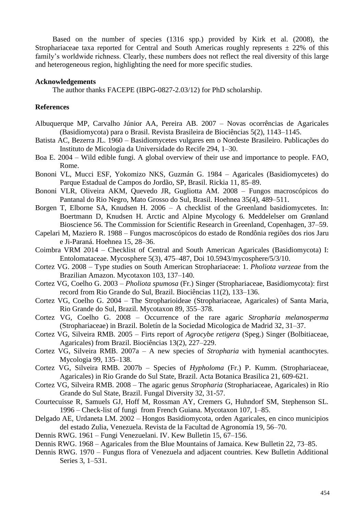Based on the number of species (1316 spp.) provided by Kirk et al. (2008), the Strophariaceae taxa reported for Central and South Americas roughly represents  $\pm$  22% of this family's worldwide richness. Clearly, these numbers does not reflect the real diversity of this large and heterogeneous region, highlighting the need for more specific studies.

#### **Acknowledgements**

The author thanks FACEPE (IBPG-0827-2.03/12) for PhD scholarship.

#### **References**

- Albuquerque MP, Carvalho Júnior AA, Pereira AB. 2007 Novas ocorrências de Agaricales (Basidiomycota) para o Brasil. Revista Brasileira de Biociências 5(2), 1143–1145.
- Batista AC, Bezerra JL. 1960 Basidiomycetes vulgares em o Nordeste Brasileiro. Publicações do Instituto de Micologia da Universidade do Recife 294, 1–30.
- Boa E. 2004 Wild edible fungi. A global overview of their use and importance to people. FAO, Rome.
- Bononi VL, Mucci ESF, Yokomizo NKS, Guzmán G. 1984 Agaricales (Basidiomycetes) do Parque Estadual de Campos do Jordão, SP, Brasil. Rickia 11, 85–89.
- Bononi VLR, Oliveira AKM, Quevedo JR, Gugliotta AM. 2008 Fungos macroscópicos do Pantanal do Rio Negro, Mato Grosso do Sul, Brasil. Hoehnea 35(4), 489–511.
- Borgen T, Elborne SA, Knudsen H. 2006 A checklist of the Greenland basidiomycetes. In: Boertmann D, Knudsen H. Arctic and Alpine Mycology 6. Meddelelser om Grønland Bioscience 56. The Commission for Scientific Research in Greenland, Copenhagen, 37–59.
- Capelari M, Maziero R. 1988 Fungos macroscópicos do estado de Rondônia regiões dos rios Jaru e Ji-Paraná. Hoehnea 15, 28–36.
- Coimbra VRM 2014 Checklist of Central and South American Agaricales (Basidiomycota) I: Entolomataceae. Mycosphere 5(3), 475–487, Doi 10.5943/mycosphere/5/3/10.
- Cortez VG. 2008 Type studies on South American Strophariaceae: 1. *Pholiota varzeae* from the Brazilian Amazon. Mycotaxon 103, 137–140.
- Cortez VG, Coelho G. 2003 *Pholiota spumosa* (Fr.) Singer (Strophariaceae, Basidiomycota): first record from Rio Grande do Sul, Brazil. Biociências 11(2), 133–136.
- Cortez VG, Coelho G. 2004 The Stropharioideae (Strophariaceae, Agaricales) of Santa Maria, Rio Grande do Sul, Brazil. Mycotaxon 89, 355–378.
- Cortez VG, Coelho G. 2008 Occurrence of the rare agaric *Stropharia melanosperma* (Strophariaceae) in Brazil. Boletín de la Sociedad Micologica de Madrid 32, 31–37.
- Cortez VG, Silveira RMB. 2005 Firts report of *Agrocybe retigera* (Speg.) Singer (Bolbitiaceae, Agaricales) from Brazil. Biociências 13(2), 227–229.
- Cortez VG, Silveira RMB. 2007a A new species of *Stropharia* with hymenial acanthocytes. Mycologia 99, 135–138.
- Cortez VG, Silveira RMB. 2007b Species of *Hypholoma* (Fr.) P. Kumm. (Strophariaceae, Agaricales) in Rio Grande do Sul State, Brazil. Acta Botanica Brasilica 21, 609-621.
- Cortez VG, Silveira RMB. 2008 The agaric genus *Stropharia* (Strophariaceae, Agaricales) in Rio Grande do Sul State, Brazil. Fungal Diversity 32, 31-57.
- Courtecuisse R, Samuels GJ, Hoff M, Rossman AY, Cremers G, Huhndorf SM, Stephenson SL. 1996 – Check-list of fungi from French Guiana. Mycotaxon 107, 1–85.
- Delgado AE, Urdaneta LM. 2002 Hongos Basidiomycota, orden Agaricales, en cinco municipios del estado Zulia, Venezuela. Revista de la Facultad de Agronomía 19, 56–70.
- Dennis RWG. 1961 Fungi Venezuelani. IV. Kew Bulletin 15, 67–156.
- Dennis RWG. 1968 Agaricales from the Blue Mountains of Jamaica. Kew Bulletin 22, 73–85.
- Dennis RWG. 1970 Fungus flora of Venezuela and adjacent countries. Kew Bulletin Additional Series 3, 1–531.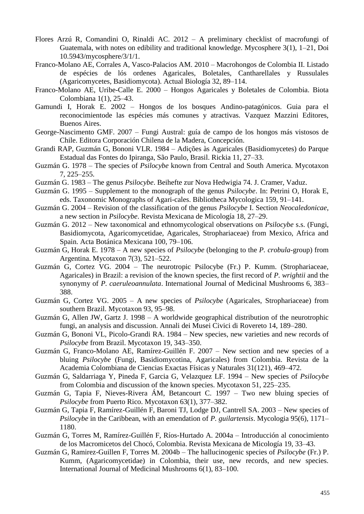- Flores Arzú R, Comandini O, Rinaldi AC. 2012 A preliminary checklist of macrofungi of Guatemala, with notes on edibility and traditional knowledge. Mycosphere 3(1), 1–21, Doi 10.5943/mycosphere/3/1/1.
- Franco-Molano AE, Corrales A, Vasco-Palacios AM. 2010 Macrohongos de Colombia II. Listado de espécies de lós ordenes Agaricales, Boletales, Cantharellales y Russulales (Agaricomycetes, Basidiomycota). Actual Biología 32, 89–114.
- Franco-Molano AE, Uribe-Calle E. 2000 Hongos Agaricales y Boletales de Colombia. Biota Colombiana 1(1), 25–43.
- Gamundi I, Horak E. 2002 Hongos de los bosques Andino-patagónicos. Guia para el reconocimientode las espécies más comunes y atractivas. Vazquez Mazzini Editores, Buenos Aires.
- George-Nascimento GMF. 2007 Fungi Austral: guía de campo de los hongos más vistosos de Chile. Editora Corporación Chilena de la Madera, Concepción.
- Grandi RAP, Guzmán G, Bononi VLR. 1984 Adições às Agaricales (Basidiomycetes) do Parque Estadual das Fontes do Ipiranga, São Paulo, Brasil. Rickia 11, 27–33.
- Guzmán G. 1978 The species of *Psilocybe* known from Central and South America. Mycotaxon 7, 225–255.
- Guzmán G. 1983 The genus *Psilocybe*. Beihefte zur Nova Hedwigia 74. J. Cramer, Vaduz.
- Guzmán G. 1995 Supplement to the monograph of the genus *Psilocybe*. In: Petrini O, Horak E, eds. Taxonomic Monographs of Agari-cales. Bibliotheca Mycologica 159, 91–141.
- Guzmán G. 2004 Revision of the classification of the genus *Psilocybe* I. Section *Neocaledonicae*, a new section in *Psilocybe*. Revista Mexicana de Micología 18, 27–29.
- Guzmán G. 2012 New taxonomical and ethnomycological observations on *Psilocybe* s.s. (Fungi, Basidiomycota, Agaricomycetidae, Agaricales, Strophariaceae) from Mexico, Africa and Spain. Acta Botánica Mexicana 100, 79–106.
- Guzmán G, Horak E. 1978 A new species of *Psilocybe* (belonging to the *P. crobula*-group) from Argentina. Mycotaxon 7(3), 521–522.
- Guzmán G, Cortez VG. 2004 The neurotropic Psilocybe (Fr.) P. Kumm. (Strophariaceae, Agaricales) in Brazil: a revision of the known species, the first record of *P. wrightii* and the synonymy of *P. caeruleoannulata*. International Journal of Medicinal Mushrooms 6, 383– 388.
- Guzmán G, Cortez VG. 2005 A new species of *Psilocybe* (Agaricales, Strophariaceae) from southern Brazil. Mycotaxon 93, 95–98.
- Guzmán G, Allen JW, Gartz J. 1998 A worldwide geographical distribution of the neurotrophic fungi, an analysis and discussion. Annali dei Musei Civici di Rovereto 14, 189–280.
- Guzmán G, Bononi VL, Picolo-Grandi RA. 1984 New species, new varieties and new records of *Psilocybe* from Brazil. Mycotaxon 19, 343–350.
- Guzmán G, Franco-Molano AE, Ramírez-Guillén F. 2007 New section and new species of a bluing *Psilocybe* (Fungi, Basidiomycotina, Agaricales) from Colombia. Revista de la Academia Colombiana de Ciencias Exactas Físicas y Naturales 31(121), 469–472.
- Guzmán G, Saldarriaga Y, Pineda F, Garcia G, Velazquez LF. 1994 New species of *Psilocybe* from Colombia and discussion of the known species. Mycotaxon 51, 225–235.
- Guzmán G, Tapia F, Nieves-Rivera ÁM, Betancourt C. 1997 Two new bluing species of *Psilocybe* from Puerto Rico. Mycotaxon 63(1), 377–382.
- Guzmán G, Tapia F, Ramírez-Guillén F, Baroni TJ, Lodge DJ, Cantrell SA. 2003 New species of *Psilocybe* in the Caribbean, with an emendation of *P. guilartensis*. Mycologia 95(6), 1171– 1180.
- Guzmán G, Torres M, Ramírez-Guillén F, Ríos-Hurtado A. 2004a Introducción al conocimiento de los Macromicetos del Chocó, Colombia. Revista Mexicana de Micología 19, 33–43.
- Guzmán G, Ramirez-Guillen F, Torres M. 2004b The hallucinogenic species of *Psilocybe* (Fr.) P. Kumm, (Agaricomycetidae) in Colombia, their use, new records, and new species. International Journal of Medicinal Mushrooms 6(1), 83–100.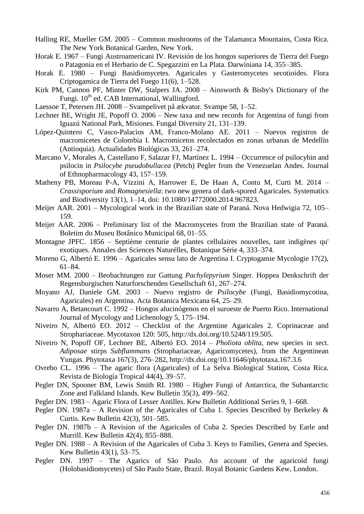- Halling RE, Mueller GM. 2005 Common mushrooms of the Talamanca Mountains, Costa Rica. The New York Botanical Garden, New York.
- Horak E. 1967 Fungi Austroamericani IV. Revisión de los hongos superiores de Tierra del Fuego o Patagonia en el Herbario de C. Spegazzini en La Plata. Darwiniana 14, 355–385.
- Horak E. 1980 Fungi Basidiomycetes. Agaricales y Gasteromycetes secotioides. Flora Criptogamica de Tierra del Fuego 11(6), 1–528.
- Kirk PM, Cannon PF, Minter DW, Stalpers JA. 2008 Ainsworth & Bisby's Dictionary of the Fungi. 10<sup>th</sup> ed. CAB International, Wallingford.
- Laessoe T, Petersen JH. 2008 Svampelivet på ækvator. Svampe 58, 1–52.
- Lechner BE, Wright JE, Popoff O. 2006 New taxa and new records for Argentina of fungi from Iguazú National Park, Misiones. Fungal Diversity 21, 131–139.
- López-Quintero C, Vasco-Palacios AM, Franco-Molano AE. 2011 Nuevos registros de macromicetes de Colombia I. Macromicetos recolectados en zonas urbanas de Medellín (Antioquia). Actualidades Biológicas 33, 261–274.
- Marcano V, Morales A, Castellano F, Salazar FJ, Martínez L. 1994 Occurrence of psilocybin and psilocin in *Psilocybe pseudobullacea* (Petch) Pegler from the Venezuelan Andes. Journal of Ethnopharmacology 43, 157–159.
- Matheny PB, Moreau P-A, Vizzini A, Harrower E, De Haan A, Contu M, Curti M. 2014 *Crassisporium* and *Romagnesiella*: two new genera of dark-spored Agaricales. Systematics and Biodiversity 13(1), 1–14, doi: 10.1080/14772000.2014.967823.
- Meijer AAR. 2001 Mycological work in the Brazilian state of Paraná. Nova Hedwigia 72, 105– 159.
- Meijer AAR. 2006 Preliminary list of the Macromycetes from the Brazilian state of Paraná. Boletim do Museu Botânico Municipal 68, 01–55.
- Montagne JPFC. 1856 Septième centurie de plantes cellulaires nouvelles, tant indigènes qu' exotiques. Annales des Sciences Naturélles, Botanique Série 4, 333–374.
- Moreno G, Albertó E. 1996 Agaricales sensu lato de Argentina I. Cryptogamie Mycologie 17(2), 61–84.
- Moser MM. 2000 Beobachtungen zur Gattung *Pachylepyrium* Singer. Hoppea Denkschrift der Regensburgischen Naturforschenden Gesellschaft 61, 267–274.
- Moyano AJ, Daniele GM. 2003 Nuevo registro de *Psilocybe* (Fungi, Basidiomycotina, Agaricales) en Argentina. Acta Botanica Mexicana 64, 25–29.
- Navarro A, Betancourt C. 1992 Hongos alucinógenos en el suroeste de Puerto Rico. International Journal of Mycology and Lichenology 5, 175–194.
- Niveiro N, Albertó EO. 2012 Checklist of the Argentine Agaricales 2. Coprinaceae and Strophariaceae. Mycotaxon 120: 505, http://dx.doi.org/10.5248/119.505.
- Niveiro N, Popoff OF, Lechner BE, Albertó EO. 2014 *Pholiota oblita*, new species in sect. *Adiposae* stirps *Subflammans* (Strophariaceae, Agaricomycetes), from the Argentinean Yungas. Phytotaxa 167(3), 276–282, http://dx.doi.org/10.11646/phytotaxa.167.3.6
- Ovrebo CL. 1996 The agaric flora (Agaricales) of La Selva Biological Station, Costa Rica. Revista de Biología Tropical 44(4), 39–57.
- Pegler DN, Spooner BM, Lewis Smith RI. 1980 Higher Fungi of Antarctica, the Subantarctic Zone and Falkland Islands. Kew Bulletin 35(3), 499–562.
- Pegler DN. 1983 Agaric Flora of Lesser Antilles. Kew Bulletin Additional Series 9, 1–668.
- Pegler DN. 1987a A Revision of the Agaricales of Cuba 1. Species Described by Berkeley  $\&$ Curtis. Kew Bulletin 42(3), 501–585.
- Pegler DN. 1987b A Revision of the Agaricales of Cuba 2. Species Described by Earle and Murrill. Kew Bulletin 42(4), 855–888.
- Pegler DN. 1988 A Revision of the Agaricales of Cuba 3. Keys to Families, Genera and Species. Kew Bulletin 43(1), 53–75.
- Pegler DN. 1997 The Agarics of São Paulo. An account of the agaricoid fungi (Holobasidiomycetes) of São Paulo State, Brazil. Royal Botanic Gardens Kew, London.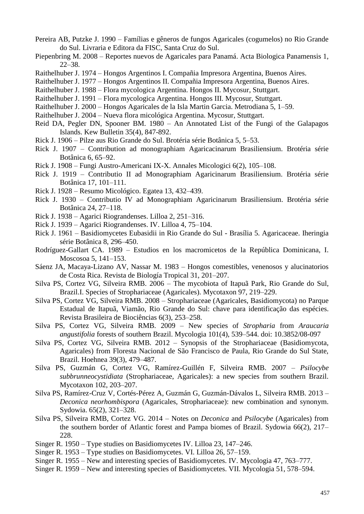- Pereira AB, Putzke J. 1990 Famílias e gêneros de fungos Agaricales (cogumelos) no Rio Grande do Sul. Livraria e Editora da FISC, Santa Cruz do Sul.
- Piepenbring M. 2008 Reportes nuevos de Agaricales para Panamá. Acta Biologica Panamensis 1, 22–38.
- Raithelhuber J. 1974 Hongos Argentinos I. Compañia Impresora Argentina, Buenos Aires.
- Raithelhuber J. 1977 Hongos Argentinos II. Compañia Impresora Argentina, Buenos Aires.
- Raithelhuber J. 1988 Flora mycologica Argentina. Hongos II. Mycosur, Stuttgart.
- Raithelhuber J. 1991 Flora mycologica Argentina. Hongos III. Mycosur, Stuttgart.
- Raithelhuber J. 2000 Hongos Agaricales de la Isla Martin Garcia. Metrodiana 5, 1–59.
- Raithelhuber J. 2004 Nueva flora micológica Argentina. Mycosur, Stuttgart.
- Reid DA, Pegler DN, Spooner BM. 1980 An Annotated List of the Fungi of the Galapagos Islands. Kew Bulletin 35(4), 847-892.
- Rick J. 1906 Pilze aus Rio Grande do Sul. Brotéria série Botânica 5, 5–53.
- Rick J. 1907 Contribution ad monographiam Agaricacinarum Brasiliensium. Brotéria série Botânica 6, 65–92.
- Rick J. 1908 Fungi Austro-Americani IX-X. Annales Micologici 6(2), 105–108.
- Rick J. 1919 Contributio II ad Monographiam Agaricinarum Brasiliensium. Brotéria série Botânica 17, 101–111.
- Rick J. 1928 Resumo Micológico. Egatea 13, 432–439.
- Rick J. 1930 Contributio IV ad Monographiam Agaricinarum Brasiliensium. Brotéria série Botânica 24, 27–118.
- Rick J. 1938 Agarici Riograndenses. Lilloa 2, 251–316.
- Rick J. 1939 Agarici Riograndenses. IV. Lilloa 4, 75–104.
- Rick J. 1961 Basidiomycetes Eubasidii in Rio Grande do Sul Brasília 5. Agaricaceae. Iheringia série Botânica 8, 296–450.
- Rodríguez-Gallart CA. 1989 Estudios en los macromicetos de la República Dominicana, I. Moscosoa 5, 141–153.
- Sáenz JA, Macaya-Lizano AV, Nassar M. 1983 Hongos comestibles, venenosos y alucinatorios de Costa Rica. Revista de Biología Tropical 31, 201–207.
- Silva PS, Cortez VG, Silveira RMB. 2006 The mycobiota of Itapuã Park, Rio Grande do Sul, Brazil.I. Species of Strophariaceae (Agaricales). Mycotaxon 97, 219–229.
- Silva PS, Cortez VG, Silveira RMB. 2008 Strophariaceae (Agaricales, Basidiomycota) no Parque Estadual de Itapuã, Viamão, Rio Grande do Sul: chave para identificação das espécies. Revista Brasileira de Biociências 6(3), 253–258.
- Silva PS, Cortez VG, Silveira RMB. 2009 New species of *Stropharia* from *Araucaria angustifolia* forests of southern Brazil. Mycologia 101(4), 539–544. doi: 10.3852/08-097
- Silva PS, Cortez VG, Silveira RMB. 2012 Synopsis of the Strophariaceae (Basidiomycota, Agaricales) from Floresta Nacional de São Francisco de Paula, Rio Grande do Sul State, Brazil. Hoehnea 39(3), 479–487.
- Silva PS, Guzmán G, Cortez VG, Ramírez-Guillén F, Silveira RMB. 2007 *Psilocybe subbrunneocystidiata* (Strophariaceae, Agaricales): a new species from southern Brazil. Mycotaxon 102, 203–207.
- Silva PS, Ramírez-Cruz V, Cortés-Pérez A, Guzmán G, Guzmán-Dávalos L, Silveira RMB. 2013 *Deconica neorhombispora* (Agaricales, Strophariaceae): new combination and synonym. Sydowia. 65(2), 321–328.
- Silva PS, Silveira RMB, Cortez VG. 2014 Notes on *Deconica* and *Psilocybe* (Agaricales) from the southern border of Atlantic forest and Pampa biomes of Brazil. Sydowia 66(2), 217– 228.
- Singer R. 1950 Type studies on Basidiomycetes IV. Lilloa 23, 147–246.
- Singer R. 1953 Type studies on Basidiomycetes. VI. Lilloa 26, 57–159.
- Singer R. 1955 New and interesting species of Basidiomycetes. IV. Mycologia 47, 763–777.
- Singer R. 1959 New and interesting species of Basidiomycetes. VII. Mycologia 51, 578–594.